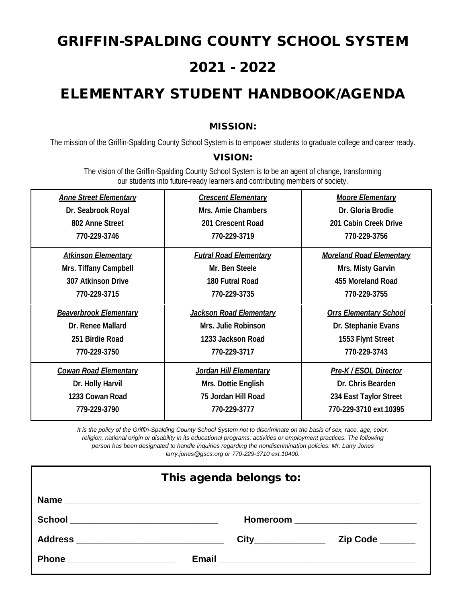# GRIFFIN-SPALDING COUNTY SCHOOL SYSTEM 2021 - 2022

# ELEMENTARY STUDENT HANDBOOK/AGENDA

## MISSION:

The mission of the Griffin-Spalding County School System is to empower students to graduate college and career ready.

#### VISION:

The vision of the Griffin-Spalding County School System is to be an agent of change, transforming our students into future-ready learners and contributing members of society.

| <b>Anne Street Elementary</b> | <b>Crescent Elementary</b>     | <b>Moore Elementary</b>         |
|-------------------------------|--------------------------------|---------------------------------|
| Dr. Seabrook Royal            | Mrs. Amie Chambers             | Dr. Gloria Brodie               |
| 802 Anne Street               | 201 Crescent Road              | 201 Cabin Creek Drive           |
| 770-229-3746                  | 770-229-3719                   | 770-229-3756                    |
| <b>Atkinson Elementary</b>    | <b>Futral Road Elementary</b>  | <b>Moreland Road Elementary</b> |
| Mrs. Tiffany Campbell         | Mr. Ben Steele                 | Mrs. Misty Garvin               |
| <b>307 Atkinson Drive</b>     | 180 Futral Road                | 455 Moreland Road               |
| 770-229-3715                  | 770-229-3735                   | 770-229-3755                    |
| <b>Beaverbrook Elementary</b> | <b>Jackson Road Elementary</b> | <b>Orrs Elementary School</b>   |
| Dr. Renee Mallard             | Mrs. Julie Robinson            | Dr. Stephanie Evans             |
| 251 Birdie Road               | 1233 Jackson Road              | 1553 Flynt Street               |
| 770-229-3750                  | 770-229-3717                   | 770-229-3743                    |
| <b>Cowan Road Elementary</b>  | <b>Jordan Hill Elementary</b>  | Pre-K / ESOL Director           |
| Dr. Holly Harvil              | Mrs. Dottie English            | Dr. Chris Bearden               |
| 1233 Cowan Road               | 75 Jordan Hill Road            | 234 East Taylor Street          |
| 779-229-3790                  | 770-229-3777                   | 770-229-3710 ext.10395          |

*It is the policy of the Griffin-Spalding County School System not to discriminate on the basis of sex, race, age, color, religion, national origin or disability in its educational programs, activities or employment practices. The following person has been designated to handle inquiries regarding the nondiscrimination policies: Mr. Larry Jones larry.jones@gscs.org or 770-229-3710 ext.10400.*

| This agenda belongs to:             |                                 |  |  |
|-------------------------------------|---------------------------------|--|--|
|                                     |                                 |  |  |
| School ____________________________ |                                 |  |  |
|                                     | City_______________<br>Zip Code |  |  |
|                                     |                                 |  |  |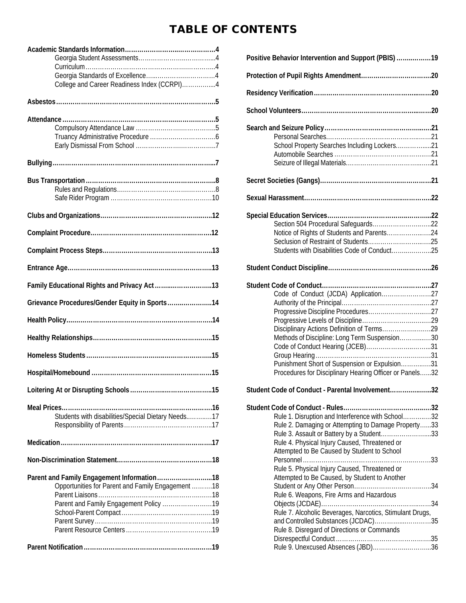# TABLE OF CONTENTS

| College and Career Readiness Index (CCRPI)4        |  |
|----------------------------------------------------|--|
|                                                    |  |
|                                                    |  |
|                                                    |  |
|                                                    |  |
|                                                    |  |
|                                                    |  |
|                                                    |  |
|                                                    |  |
|                                                    |  |
|                                                    |  |
|                                                    |  |
|                                                    |  |
|                                                    |  |
|                                                    |  |
|                                                    |  |
| Family Educational Rights and Privacy Act13        |  |
| Grievance Procedures/Gender Equity in Sports14     |  |
|                                                    |  |
|                                                    |  |
|                                                    |  |
|                                                    |  |
|                                                    |  |
|                                                    |  |
| Students with disabilities/Special Dietary Needs17 |  |
|                                                    |  |
|                                                    |  |
|                                                    |  |
| Parent and Family Engagement Information 18        |  |
| Opportunities for Parent and Family Engagement 18  |  |
|                                                    |  |
| Parent and Family Engagement Policy 19             |  |
|                                                    |  |
|                                                    |  |
|                                                    |  |
|                                                    |  |

| Positive Behavior Intervention and Support (PBIS)        |  |
|----------------------------------------------------------|--|
|                                                          |  |
|                                                          |  |
|                                                          |  |
|                                                          |  |
|                                                          |  |
| School Property Searches Including Lockers21             |  |
|                                                          |  |
|                                                          |  |
|                                                          |  |
|                                                          |  |
|                                                          |  |
|                                                          |  |
| Notice of Rights of Students and Parents24               |  |
|                                                          |  |
| Students with Disabilities Code of Conduct25             |  |
|                                                          |  |
|                                                          |  |
|                                                          |  |
| Code of Conduct (JCDA) Application27                     |  |
|                                                          |  |
|                                                          |  |
|                                                          |  |
|                                                          |  |
| Methods of Discipline: Long Term Suspension30            |  |
|                                                          |  |
|                                                          |  |
| Punishment Short of Suspension or Expulsion31            |  |
| Procedures for Disciplinary Hearing Officer or Panels32  |  |
| Student Code of Conduct - Parental Involvement32         |  |
|                                                          |  |
| Rule 1. Disruption and Interference with School32        |  |
| Rule 2. Damaging or Attempting to Damage Property33      |  |
| Rule 3. Assault or Battery by a Student33                |  |
| Rule 4. Physical Injury Caused, Threatened or            |  |
| Attempted to Be Caused by Student to School              |  |
|                                                          |  |
| Rule 5. Physical Injury Caused, Threatened or            |  |
| Attempted to Be Caused, by Student to Another            |  |
|                                                          |  |
| Rule 6. Weapons, Fire Arms and Hazardous                 |  |
|                                                          |  |
| Rule 7. Alcoholic Beverages, Narcotics, Stimulant Drugs, |  |
| and Controlled Substances (JCDAC)35                      |  |
| Rule 8. Disregard of Directions or Commands              |  |
| Rule 9. Unexcused Absences (JBD)36                       |  |
|                                                          |  |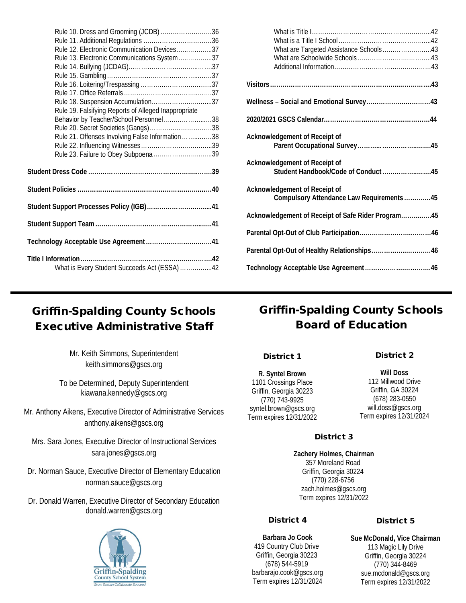| Rule 10. Dress and Grooming (JCDB)36                 |  |
|------------------------------------------------------|--|
|                                                      |  |
| Rule 12. Electronic Communication Devices37          |  |
| Rule 13. Electronic Communications System37          |  |
|                                                      |  |
|                                                      |  |
|                                                      |  |
|                                                      |  |
| Rule 18. Suspension Accumulation37                   |  |
| Rule 19. Falsifying Reports of Alleged Inappropriate |  |
| Behavior by Teacher/School Personnel38               |  |
| Rule 20. Secret Societies (Gangs)38                  |  |
| Rule 21. Offenses Involving False Information38      |  |
|                                                      |  |
| Rule 23. Failure to Obey Subpoena 39                 |  |
|                                                      |  |
|                                                      |  |
| Student Support Processes Policy (IGB)41             |  |
|                                                      |  |
|                                                      |  |
|                                                      |  |
| What is Every Student Succeeds Act (ESSA) 42         |  |
|                                                      |  |

| What are Targeted Assistance Schools43             |  |
|----------------------------------------------------|--|
|                                                    |  |
|                                                    |  |
|                                                    |  |
|                                                    |  |
|                                                    |  |
|                                                    |  |
|                                                    |  |
|                                                    |  |
|                                                    |  |
| Acknowledgement of Receipt of                      |  |
|                                                    |  |
|                                                    |  |
| Acknowledgement of Receipt of                      |  |
| Student Handbook/Code of Conduct45                 |  |
|                                                    |  |
| Acknowledgement of Receipt of                      |  |
| Compulsory Attendance Law Requirements45           |  |
| Acknowledgement of Receipt of Safe Rider Program45 |  |
|                                                    |  |
|                                                    |  |
|                                                    |  |
| Parental Opt-Out of Healthy Relationships46        |  |
|                                                    |  |
|                                                    |  |
|                                                    |  |

# Griffin-Spalding County Schools Executive Administrative Staff

Mr. Keith Simmons, Superintendent keith.simmons@gscs.org

To be Determined, Deputy Superintendent kiawana.kennedy@gscs.org

Mr. Anthony Aikens, Executive Director of Administrative Services anthony.aikens@gscs.org

Mrs. Sara Jones, Executive Director of Instructional Services sara.jones@gscs.org

Dr. Norman Sauce, Executive Director of Elementary Education norman.sauce@gscs.org

Dr. Donald Warren, Executive Director of Secondary Education donald.warren@gscs.org



# Griffin-Spalding County Schools Board of Education

#### District 1

**R. Syntel Brown** 1101 Crossings Place Griffin, Georgia 30223 (770) 743-9925 syntel.brown@gscs.org Term expires 12/31/2022 District 2

**Will Doss** 112 Millwood Drive Griffin, GA 30224 (678) 283-0550 will.doss@gscs.org Term expires 12/31/2024

## District 3

**Zachery Holmes, Chairman**  357 Moreland Road Griffin, Georgia 30224 (770) 228-6756 zach.holmes@gscs.org Term expires 12/31/2022

## District 4

**Barbara Jo Cook** 419 Country Club Drive Griffin, Georgia 30223 (678) 544-5919 barbarajo.cook@gscs.org Term expires 12/31/2024

## District 5

**Sue McDonald, Vice Chairman** 113 Magic Lily Drive Griffin, Georgia 30224 (770) 344-8469 sue.mcdonald@gscs.org Term expires 12/31/2022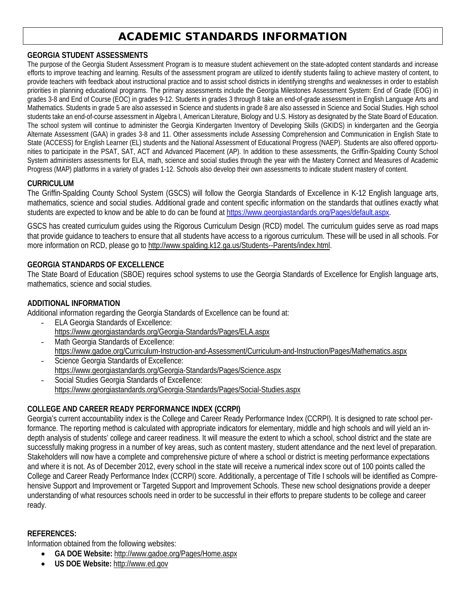# ACADEMIC STANDARDS INFORMATION

#### **GEORGIA STUDENT ASSESSMENTS**

The purpose of the Georgia Student Assessment Program is to measure student achievement on the state-adopted content standards and increase efforts to improve teaching and learning. Results of the assessment program are utilized to identify students failing to achieve mastery of content, to provide teachers with feedback about instructional practice and to assist school districts in identifying strengths and weaknesses in order to establish priorities in planning educational programs. The primary assessments include the Georgia Milestones Assessment System: End of Grade (EOG) in grades 3-8 and End of Course (EOC) in grades 9-12. Students in grades 3 through 8 take an end-of-grade assessment in English Language Arts and Mathematics. Students in grade 5 are also assessed in Science and students in grade 8 are also assessed in Science and Social Studies. High school students take an end-of-course assessment in Algebra I, American Literature, Biology and U.S. History as designated by the State Board of Education. The school system will continue to administer the Georgia Kindergarten Inventory of Developing Skills (GKIDS) in kindergarten and the Georgia Alternate Assessment (GAA) in grades 3-8 and 11. Other assessments include Assessing Comprehension and Communication in English State to State (ACCESS) for English Learner (EL) students and the National Assessment of Educational Progress (NAEP). Students are also offered opportunities to participate in the PSAT, SAT, ACT and Advanced Placement (AP). In addition to these assessments, the Griffin-Spalding County School System administers assessments for ELA, math, science and social studies through the year with the Mastery Connect and Measures of Academic Progress (MAP) platforms in a variety of grades 1-12. Schools also develop their own assessments to indicate student mastery of content.

#### **CURRICULUM**

The Griffin-Spalding County School System (GSCS) will follow the Georgia Standards of Excellence in K-12 English language arts, mathematics, science and social studies. Additional grade and content specific information on the standards that outlines exactly what students are expected to know and be able to do can be found at [https://www.georgiastandards.org/Pages/default.aspx.](https://www.georgiastandards.org/Pages/default.aspx)

GSCS has created curriculum guides using the Rigorous Curriculum Design (RCD) model. The curriculum guides serve as road maps that provide guidance to teachers to ensure that all students have access to a rigorous curriculum. These will be used in all schools. For more information on RCD, please go to [http://www.spalding.k12.ga.us/Students--Parents/index.html.](http://www.spalding.k12.ga.us/Students--Parents/index.html)

#### **GEORGIA STANDARDS OF EXCELLENCE**

The State Board of Education (SBOE) requires school systems to use the Georgia Standards of Excellence for English language arts, mathematics, science and social studies.

#### **ADDITIONAL INFORMATION**

Additional information regarding the Georgia Standards of Excellence can be found at:

- ELA Georgia Standards of Excellence: <https://www.georgiastandards.org/Georgia-Standards/Pages/ELA.aspx>
- Math Georgia Standards of Excellence: <https://www.gadoe.org/Curriculum-Instruction-and-Assessment/Curriculum-and-Instruction/Pages/Mathematics.aspx>
- Science Georgia Standards of Excellence: <https://www.georgiastandards.org/Georgia-Standards/Pages/Science.aspx>
- Social Studies Georgia Standards of Excellence: <https://www.georgiastandards.org/Georgia-Standards/Pages/Social-Studies.aspx>

## **COLLEGE AND CAREER READY PERFORMANCE INDEX (CCRPI)**

Georgia's current accountability index is the College and Career Ready Performance Index (CCRPI). It is designed to rate school performance. The reporting method is calculated with appropriate indicators for elementary, middle and high schools and will yield an indepth analysis of students' college and career readiness. It will measure the extent to which a school, school district and the state are successfully making progress in a number of key areas, such as content mastery, student attendance and the next level of preparation. Stakeholders will now have a complete and comprehensive picture of where a school or district is meeting performance expectations and where it is not. As of December 2012, every school in the state will receive a numerical index score out of 100 points called the College and Career Ready Performance Index (CCRPI) score. Additionally, a percentage of Title I schools will be identified as Comprehensive Support and Improvement or Targeted Support and Improvement Schools. These new school designations provide a deeper understanding of what resources schools need in order to be successful in their efforts to prepare students to be college and career ready.

#### **REFERENCES:**

Information obtained from the following websites:

- **GA DOE Website:** <http://www.gadoe.org/Pages/Home.aspx>
- **US DOE Website:** [http://www.ed.gov](http://www.ed.gov/)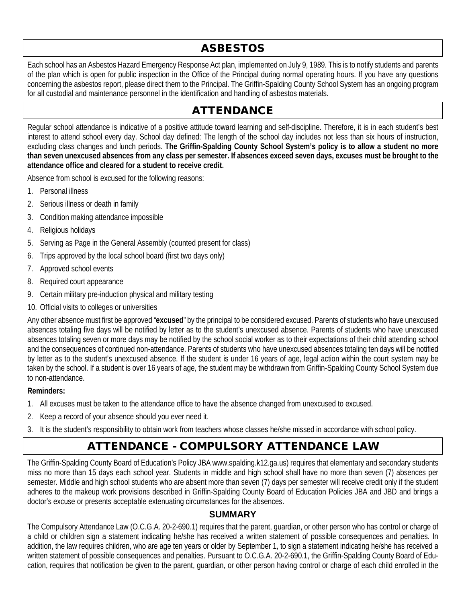# ASBESTOS

Each school has an Asbestos Hazard Emergency Response Act plan, implemented on July 9, 1989. This is to notify students and parents of the plan which is open for public inspection in the Office of the Principal during normal operating hours. If you have any questions concerning the asbestos report, please direct them to the Principal. The Griffin-Spalding County School System has an ongoing program for all custodial and maintenance personnel in the identification and handling of asbestos materials.

# ATTENDANCE

Regular school attendance is indicative of a positive attitude toward learning and self-discipline. Therefore, it is in each student's best interest to attend school every day. School day defined: The length of the school day includes not less than six hours of instruction, excluding class changes and lunch periods. **The Griffin-Spalding County School System's policy is to allow a student no more than seven unexcused absences from any class per semester. If absences exceed seven days, excuses must be brought to the attendance office and cleared for a student to receive credit.**

Absence from school is excused for the following reasons:

- 1. Personal illness
- 2. Serious illness or death in family
- 3. Condition making attendance impossible
- 4. Religious holidays
- 5. Serving as Page in the General Assembly (counted present for class)
- 6. Trips approved by the local school board (first two days only)
- 7. Approved school events
- 8. Required court appearance
- 9. Certain military pre-induction physical and military testing
- 10. Official visits to colleges or universities

Any other absence must first be approved "**excused**" by the principal to be considered excused. Parents of students who have unexcused absences totaling five days will be notified by letter as to the student's unexcused absence. Parents of students who have unexcused absences totaling seven or more days may be notified by the school social worker as to their expectations of their child attending school and the consequences of continued non-attendance. Parents of students who have unexcused absences totaling ten days will be notified by letter as to the student's unexcused absence. If the student is under 16 years of age, legal action within the court system may be taken by the school. If a student is over 16 years of age, the student may be withdrawn from Griffin-Spalding County School System due to non-attendance.

#### **Reminders:**

- 1. All excuses must be taken to the attendance office to have the absence changed from unexcused to excused.
- 2. Keep a record of your absence should you ever need it.
- 3. It is the student's responsibility to obtain work from teachers whose classes he/she missed in accordance with school policy.

# ATTENDANCE - COMPULSORY ATTENDANCE LAW

The Griffin-Spalding County Board of Education's Policy JBA www.spalding.k12.ga.us) requires that elementary and secondary students miss no more than 15 days each school year. Students in middle and high school shall have no more than seven (7) absences per semester. Middle and high school students who are absent more than seven (7) days per semester will receive credit only if the student adheres to the makeup work provisions described in Griffin-Spalding County Board of Education Policies JBA and JBD and brings a doctor's excuse or presents acceptable extenuating circumstances for the absences.

## **SUMMARY**

The Compulsory Attendance Law (O.C.G.A. 20-2-690.1) requires that the parent, guardian, or other person who has control or charge of a child or children sign a statement indicating he/she has received a written statement of possible consequences and penalties. In addition, the law requires children, who are age ten years or older by September 1, to sign a statement indicating he/she has received a written statement of possible consequences and penalties. Pursuant to O.C.G.A. 20-2-690.1, the Griffin-Spalding County Board of Education, requires that notification be given to the parent, guardian, or other person having control or charge of each child enrolled in the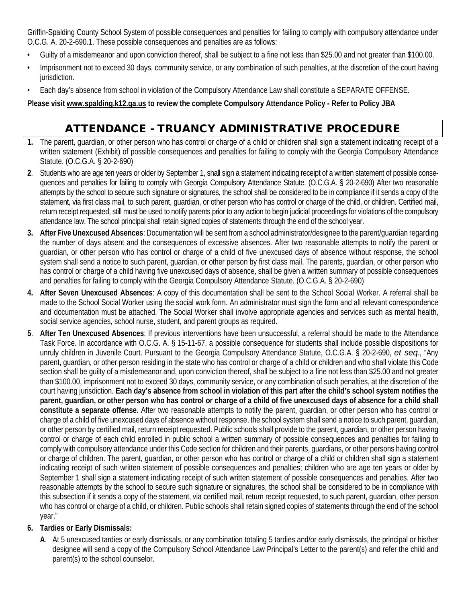Griffin-Spalding County School System of possible consequences and penalties for failing to comply with compulsory attendance under O.C.G. A. 20-2-690.1. These possible consequences and penalties are as follows:

- Guilty of a misdemeanor and upon conviction thereof, shall be subject to a fine not less than \$25.00 and not greater than \$100.00.
- Imprisonment not to exceed 30 days, community service, or any combination of such penalties, at the discretion of the court having jurisdiction.
- Each day's absence from school in violation of the Compulsory Attendance Law shall constitute a SEPARATE OFFENSE.

**Please visi[t www.spalding.k12.ga.us](http://www.spalding.k12.ga.us/) to review the complete Compulsory Attendance Policy - Refer to Policy JBA**

# ATTENDANCE - TRUANCY ADMINISTRATIVE PROCEDURE

- **1.** The parent, guardian, or other person who has control or charge of a child or children shall sign a statement indicating receipt of a written statement (Exhibit) of possible consequences and penalties for failing to comply with the Georgia Compulsory Attendance Statute. (O.C.G.A. § 20-2-690)
- **2**. Students who are age ten years or older by September 1, shall sign a statement indicating receipt of a written statement of possible consequences and penalties for failing to comply with Georgia Compulsory Attendance Statute. (O.C.G.A. § 20-2-690) After two reasonable attempts by the school to secure such signature or signatures, the school shall be considered to be in compliance if it sends a copy of the statement, via first class mail, to such parent, guardian, or other person who has control or charge of the child, or children. Certified mail, return receipt requested, still must be used to notify parents prior to any action to begin judicial proceedings for violations of the compulsory attendance law. The school principal shall retain signed copies of statements through the end of the school year.
- **3. After Five Unexcused Absences**: Documentation will be sent from a school administrator/designee to the parent/guardian regarding the number of days absent and the consequences of excessive absences. After two reasonable attempts to notify the parent or guardian, or other person who has control or charge of a child of five unexcused days of absence without response, the school system shall send a notice to such parent, quardian, or other person by first class mail. The parents, quardian, or other person who has control or charge of a child having five unexcused days of absence, shall be given a written summary of possible consequences and penalties for failing to comply with the Georgia Compulsory Attendance Statute. (O.C.G.A. § 20-2-690)
- **4. After Seven Unexcused Absences**: A copy of this documentation shall be sent to the School Social Worker. A referral shall be made to the School Social Worker using the social work form. An administrator must sign the form and all relevant correspondence and documentation must be attached. The Social Worker shall involve appropriate agencies and services such as mental health, social service agencies, school nurse, student, and parent groups as required.
- **5**. **After Ten Unexcused Absences**: If previous interventions have been unsuccessful, a referral should be made to the Attendance Task Force. In accordance with O.C.G. A. § 15-11-67, a possible consequence for students shall include possible dispositions for unruly children in Juvenile Court. Pursuant to the Georgia Compulsory Attendance Statute, O.C.G.A. § 20-2-690, *et seq*., "Any parent, guardian, or other person residing in the state who has control or charge of a child or children and who shall violate this Code section shall be guilty of a misdemeanor and, upon conviction thereof, shall be subject to a fine not less than \$25.00 and not greater than \$100.00, imprisonment not to exceed 30 days, community service, or any combination of such penalties, at the discretion of the court having jurisdiction. **Each day's absence from school in violation of this part after the child's school system notifies the parent, guardian, or other person who has control or charge of a child of five unexcused days of absence for a child shall constitute a separate offense.** After two reasonable attempts to notify the parent, guardian, or other person who has control or charge of a child of five unexcused days of absence without response, the school system shall send a notice to such parent, guardian, or other person by certified mail, return receipt requested. Public schools shall provide to the parent, guardian, or other person having control or charge of each child enrolled in public school a written summary of possible consequences and penalties for failing to comply with compulsory attendance under this Code section for children and their parents, guardians, or other persons having control or charge of children. The parent, guardian, or other person who has control or charge of a child or children shall sign a statement indicating receipt of such written statement of possible consequences and penalties; children who are age ten years or older by September 1 shall sign a statement indicating receipt of such written statement of possible consequences and penalties. After two reasonable attempts by the school to secure such signature or signatures, the school shall be considered to be in compliance with this subsection if it sends a copy of the statement, via certified mail, return receipt requested, to such parent, guardian, other person who has control or charge of a child, or children. Public schools shall retain signed copies of statements through the end of the school year."

## **6. Tardies or Early Dismissals:**

**A**. At 5 unexcused tardies or early dismissals, or any combination totaling 5 tardies and/or early dismissals, the principal or his/her designee will send a copy of the Compulsory School Attendance Law Principal's Letter to the parent(s) and refer the child and parent(s) to the school counselor.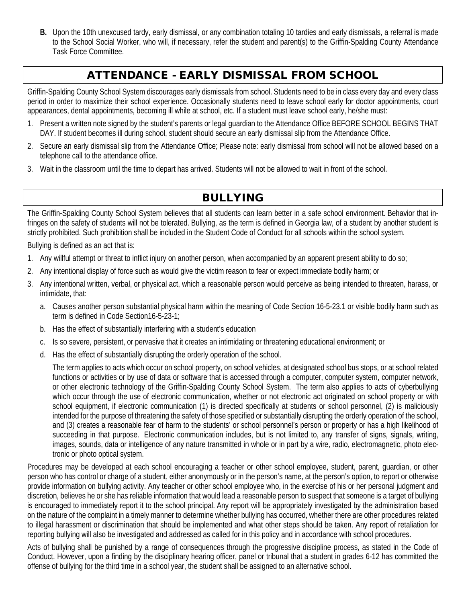**B.** Upon the 10th unexcused tardy, early dismissal, or any combination totaling 10 tardies and early dismissals, a referral is made to the School Social Worker, who will, if necessary, refer the student and parent(s) to the Griffin-Spalding County Attendance Task Force Committee.

# ATTENDANCE - EARLY DISMISSAL FROM SCHOOL

Griffin-Spalding County School System discourages early dismissals from school. Students need to be in class every day and every class period in order to maximize their school experience. Occasionally students need to leave school early for doctor appointments, court appearances, dental appointments, becoming ill while at school, etc. If a student must leave school early, he/she must:

- 1. Present a written note signed by the student's parents or legal guardian to the Attendance Office BEFORE SCHOOL BEGINS THAT DAY. If student becomes ill during school, student should secure an early dismissal slip from the Attendance Office.
- 2. Secure an early dismissal slip from the Attendance Office; Please note: early dismissal from school will not be allowed based on a telephone call to the attendance office.
- 3. Wait in the classroom until the time to depart has arrived. Students will not be allowed to wait in front of the school.

# BULLYING

The Griffin-Spalding County School System believes that all students can learn better in a safe school environment. Behavior that infringes on the safety of students will not be tolerated. Bullying, as the term is defined in Georgia law, of a student by another student is strictly prohibited. Such prohibition shall be included in the Student Code of Conduct for all schools within the school system.

Bullying is defined as an act that is:

- 1. Any willful attempt or threat to inflict injury on another person, when accompanied by an apparent present ability to do so;
- 2. Any intentional display of force such as would give the victim reason to fear or expect immediate bodily harm; or
- 3. Any intentional written, verbal, or physical act, which a reasonable person would perceive as being intended to threaten, harass, or intimidate, that:
	- a. Causes another person substantial physical harm within the meaning of Code Section 16-5-23.1 or visible bodily harm such as term is defined in Code Section16-5-23-1;
	- b. Has the effect of substantially interfering with a student's education
	- c. Is so severe, persistent, or pervasive that it creates an intimidating or threatening educational environment; or
	- d. Has the effect of substantially disrupting the orderly operation of the school.

The term applies to acts which occur on school property, on school vehicles, at designated school bus stops, or at school related functions or activities or by use of data or software that is accessed through a computer, computer system, computer network, or other electronic technology of the Griffin-Spalding County School System. The term also applies to acts of cyberbullying which occur through the use of electronic communication, whether or not electronic act originated on school property or with school equipment, if electronic communication (1) is directed specifically at students or school personnel, (2) is maliciously intended for the purpose of threatening the safety of those specified or substantially disrupting the orderly operation of the school, and (3) creates a reasonable fear of harm to the students' or school personnel's person or property or has a high likelihood of succeeding in that purpose. Electronic communication includes, but is not limited to, any transfer of signs, signals, writing, images, sounds, data or intelligence of any nature transmitted in whole or in part by a wire, radio, electromagnetic, photo electronic or photo optical system.

Procedures may be developed at each school encouraging a teacher or other school employee, student, parent, guardian, or other person who has control or charge of a student, either anonymously or in the person's name, at the person's option, to report or otherwise provide information on bullying activity. Any teacher or other school employee who, in the exercise of his or her personal judgment and discretion, believes he or she has reliable information that would lead a reasonable person to suspect that someone is a target of bullying is encouraged to immediately report it to the school principal. Any report will be appropriately investigated by the administration based on the nature of the complaint in a timely manner to determine whether bullying has occurred, whether there are other procedures related to illegal harassment or discrimination that should be implemented and what other steps should be taken. Any report of retaliation for reporting bullying will also be investigated and addressed as called for in this policy and in accordance with school procedures.

Acts of bullying shall be punished by a range of consequences through the progressive discipline process, as stated in the Code of Conduct. However, upon a finding by the disciplinary hearing officer, panel or tribunal that a student in grades 6-12 has committed the offense of bullying for the third time in a school year, the student shall be assigned to an alternative school.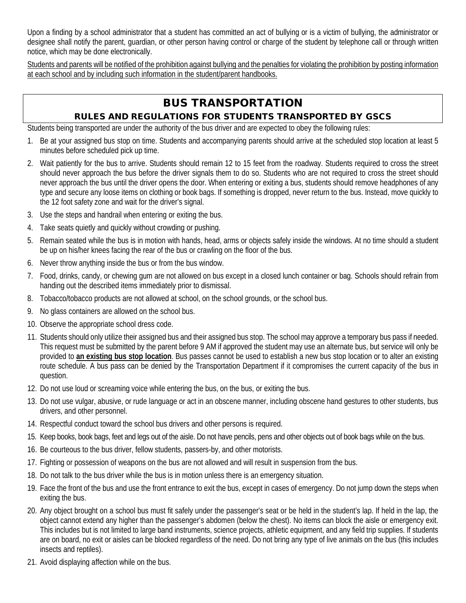Upon a finding by a school administrator that a student has committed an act of bullying or is a victim of bullying, the administrator or designee shall notify the parent, guardian, or other person having control or charge of the student by telephone call or through written notice, which may be done electronically.

Students and parents will be notified of the prohibition against bullying and the penalties for violating the prohibition by posting information at each school and by including such information in the student/parent handbooks.

# BUS TRANSPORTATION

# RULES AND REGULATIONS FOR STUDENTS TRANSPORTED BY GSCS

Students being transported are under the authority of the bus driver and are expected to obey the following rules:

- 1. Be at your assigned bus stop on time. Students and accompanying parents should arrive at the scheduled stop location at least 5 minutes before scheduled pick up time.
- 2. Wait patiently for the bus to arrive. Students should remain 12 to 15 feet from the roadway. Students required to cross the street should never approach the bus before the driver signals them to do so. Students who are not required to cross the street should never approach the bus until the driver opens the door. When entering or exiting a bus, students should remove headphones of any type and secure any loose items on clothing or book bags. If something is dropped, never return to the bus. Instead, move quickly to the 12 foot safety zone and wait for the driver's signal.
- 3. Use the steps and handrail when entering or exiting the bus.
- 4. Take seats quietly and quickly without crowding or pushing.
- 5. Remain seated while the bus is in motion with hands, head, arms or objects safely inside the windows. At no time should a student be up on his/her knees facing the rear of the bus or crawling on the floor of the bus.
- 6. Never throw anything inside the bus or from the bus window.
- 7. Food, drinks, candy, or chewing gum are not allowed on bus except in a closed lunch container or bag. Schools should refrain from handing out the described items immediately prior to dismissal.
- 8. Tobacco/tobacco products are not allowed at school, on the school grounds, or the school bus.
- 9. No glass containers are allowed on the school bus.
- 10. Observe the appropriate school dress code.
- 11. Students should only utilize their assigned bus and their assigned bus stop. The school may approve a temporary bus pass if needed. This request must be submitted by the parent before 9 AM if approved the student may use an alternate bus, but service will only be provided to **an existing bus stop location**. Bus passes cannot be used to establish a new bus stop location or to alter an existing route schedule. A bus pass can be denied by the Transportation Department if it compromises the current capacity of the bus in question.
- 12. Do not use loud or screaming voice while entering the bus, on the bus, or exiting the bus.
- 13. Do not use vulgar, abusive, or rude language or act in an obscene manner, including obscene hand gestures to other students, bus drivers, and other personnel.
- 14. Respectful conduct toward the school bus drivers and other persons is required.
- 15. Keep books, book bags, feet and legs out of the aisle. Do not have pencils, pens and other objects out of book bags while on the bus.
- 16. Be courteous to the bus driver, fellow students, passers-by, and other motorists.
- 17. Fighting or possession of weapons on the bus are not allowed and will result in suspension from the bus.
- 18. Do not talk to the bus driver while the bus is in motion unless there is an emergency situation.
- 19. Face the front of the bus and use the front entrance to exit the bus, except in cases of emergency. Do not jump down the steps when exiting the bus.
- 20. Any object brought on a school bus must fit safely under the passenger's seat or be held in the student's lap. If held in the lap, the object cannot extend any higher than the passenger's abdomen (below the chest). No items can block the aisle or emergency exit. This includes but is not limited to large band instruments, science projects, athletic equipment, and any field trip supplies. If students are on board, no exit or aisles can be blocked regardless of the need. Do not bring any type of live animals on the bus (this includes insects and reptiles).
- 21. Avoid displaying affection while on the bus.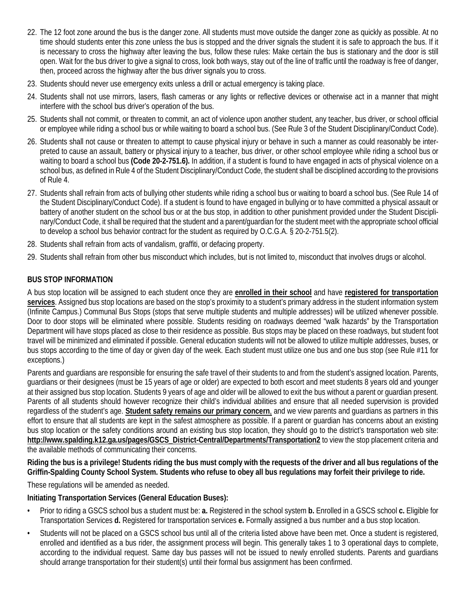- 22. The 12 foot zone around the bus is the danger zone. All students must move outside the danger zone as quickly as possible. At no time should students enter this zone unless the bus is stopped and the driver signals the student it is safe to approach the bus. If it is necessary to cross the highway after leaving the bus, follow these rules: Make certain the bus is stationary and the door is still open. Wait for the bus driver to give a signal to cross, look both ways, stay out of the line of traffic until the roadway is free of danger, then, proceed across the highway after the bus driver signals you to cross.
- 23. Students should never use emergency exits unless a drill or actual emergency is taking place.
- 24. Students shall not use mirrors, lasers, flash cameras or any lights or reflective devices or otherwise act in a manner that might interfere with the school bus driver's operation of the bus.
- 25. Students shall not commit, or threaten to commit, an act of violence upon another student, any teacher, bus driver, or school official or employee while riding a school bus or while waiting to board a school bus. (See Rule 3 of the Student Disciplinary/Conduct Code).
- 26. Students shall not cause or threaten to attempt to cause physical injury or behave in such a manner as could reasonably be interpreted to cause an assault, battery or physical injury to a teacher, bus driver, or other school employee while riding a school bus or waiting to board a school bus **(Code 20-2-751.6).** In addition, if a student is found to have engaged in acts of physical violence on a school bus, as defined in Rule 4 of the Student Disciplinary/Conduct Code, the student shall be disciplined according to the provisions of Rule 4.
- 27. Students shall refrain from acts of bullying other students while riding a school bus or waiting to board a school bus. (See Rule 14 of the Student Disciplinary/Conduct Code). If a student is found to have engaged in bullying or to have committed a physical assault or battery of another student on the school bus or at the bus stop, in addition to other punishment provided under the Student Disciplinary/Conduct Code, it shall be required that the student and a parent/guardian for the student meet with the appropriate school official to develop a school bus behavior contract for the student as required by O.C.G.A. § 20-2-751.5(2).
- 28. Students shall refrain from acts of vandalism, graffiti, or defacing property.
- 29. Students shall refrain from other bus misconduct which includes, but is not limited to, misconduct that involves drugs or alcohol.

#### **BUS STOP INFORMATION**

A bus stop location will be assigned to each student once they are **enrolled in their school** and have **registered for transportation services**. Assigned bus stop locations are based on the stop's proximity to a student's primary address in the student information system (Infinite Campus.) Communal Bus Stops (stops that serve multiple students and multiple addresses) will be utilized whenever possible. Door to door stops will be eliminated where possible. Students residing on roadways deemed "walk hazards" by the Transportation Department will have stops placed as close to their residence as possible. Bus stops may be placed on these roadways, but student foot travel will be minimized and eliminated if possible. General education students will not be allowed to utilize multiple addresses, buses, or bus stops according to the time of day or given day of the week. Each student must utilize one bus and one bus stop (see Rule #11 for exceptions.)

Parents and guardians are responsible for ensuring the safe travel of their students to and from the student's assigned location. Parents, guardians or their designees (must be 15 years of age or older) are expected to both escort and meet students 8 years old and younger at their assigned bus stop location. Students 9 years of age and older will be allowed to exit the bus without a parent or guardian present. Parents of all students should however recognize their child's individual abilities and ensure that all needed supervision is provided regardless of the student's age. **Student safety remains our primary concern**, and we view parents and guardians as partners in this effort to ensure that all students are kept in the safest atmosphere as possible. If a parent or guardian has concerns about an existing bus stop location or the safety conditions around an existing bus stop location, they should go to the district's transportation web site: **http://www.spalding.k12.ga.us/pages/GSCS\_District-Central/Departments/Transportation2** to view the stop placement criteria and the available methods of communicating their concerns.

**Riding the bus is a privilege! Students riding the bus must comply with the requests of the driver and all bus regulations of the Griffin-Spalding County School System. Students who refuse to obey all bus regulations may forfeit their privilege to ride.**

These regulations will be amended as needed.

#### **Initiating Transportation Services (General Education Buses):**

- Prior to riding a GSCS school bus a student must be: **a.** Registered in the school system **b.** Enrolled in a GSCS school **c.** Eligible for Transportation Services **d.** Registered for transportation services **e.** Formally assigned a bus number and a bus stop location.
- Students will not be placed on a GSCS school bus until all of the criteria listed above have been met. Once a student is registered, enrolled and identified as a bus rider, the assignment process will begin. This generally takes 1 to 3 operational days to complete, according to the individual request. Same day bus passes will not be issued to newly enrolled students. Parents and guardians should arrange transportation for their student(s) until their formal bus assignment has been confirmed.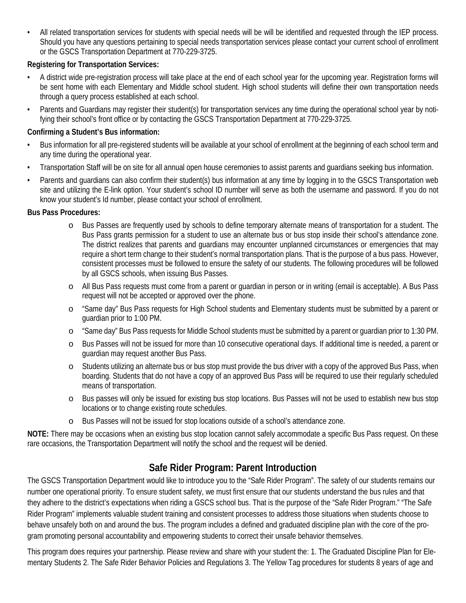• All related transportation services for students with special needs will be will be identified and requested through the IEP process. Should you have any questions pertaining to special needs transportation services please contact your current school of enrollment or the GSCS Transportation Department at 770-229-3725.

## **Registering for Transportation Services:**

- A district wide pre-registration process will take place at the end of each school year for the upcoming year. Registration forms will be sent home with each Elementary and Middle school student. High school students will define their own transportation needs through a query process established at each school.
- Parents and Guardians may register their student(s) for transportation services any time during the operational school year by notifying their school's front office or by contacting the GSCS Transportation Department at 770-229-3725.

## **Confirming a Student's Bus information:**

- Bus information for all pre-registered students will be available at your school of enrollment at the beginning of each school term and any time during the operational year.
- Transportation Staff will be on site for all annual open house ceremonies to assist parents and guardians seeking bus information.
- Parents and guardians can also confirm their student(s) bus information at any time by logging in to the GSCS Transportation web site and utilizing the E-link option. Your student's school ID number will serve as both the username and password. If you do not know your student's Id number, please contact your school of enrollment.

## **Bus Pass Procedures:**

- o Bus Passes are frequently used by schools to define temporary alternate means of transportation for a student. The Bus Pass grants permission for a student to use an alternate bus or bus stop inside their school's attendance zone. The district realizes that parents and guardians may encounter unplanned circumstances or emergencies that may require a short term change to their student's normal transportation plans. That is the purpose of a bus pass. However, consistent processes must be followed to ensure the safety of our students. The following procedures will be followed by all GSCS schools, when issuing Bus Passes.
- o All Bus Pass requests must come from a parent or guardian in person or in writing (email is acceptable). A Bus Pass request will not be accepted or approved over the phone.
- o "Same day" Bus Pass requests for High School students and Elementary students must be submitted by a parent or guardian prior to 1:00 PM.
- o "Same day" Bus Pass requests for Middle School students must be submitted by a parent or guardian prior to 1:30 PM.
- o Bus Passes will not be issued for more than 10 consecutive operational days. If additional time is needed, a parent or guardian may request another Bus Pass.
- o Students utilizing an alternate bus or bus stop must provide the bus driver with a copy of the approved Bus Pass, when boarding. Students that do not have a copy of an approved Bus Pass will be required to use their regularly scheduled means of transportation.
- o Bus passes will only be issued for existing bus stop locations. Bus Passes will not be used to establish new bus stop locations or to change existing route schedules.
- o Bus Passes will not be issued for stop locations outside of a school's attendance zone.

**NOTE:** There may be occasions when an existing bus stop location cannot safely accommodate a specific Bus Pass request. On these rare occasions, the Transportation Department will notify the school and the request will be denied.

# **Safe Rider Program: Parent Introduction**

The GSCS Transportation Department would like to introduce you to the "Safe Rider Program". The safety of our students remains our number one operational priority. To ensure student safety, we must first ensure that our students understand the bus rules and that they adhere to the district's expectations when riding a GSCS school bus. That is the purpose of the "Safe Rider Program." "The Safe Rider Program" implements valuable student training and consistent processes to address those situations when students choose to behave unsafely both on and around the bus. The program includes a defined and graduated discipline plan with the core of the program promoting personal accountability and empowering students to correct their unsafe behavior themselves.

This program does requires your partnership. Please review and share with your student the: 1. The Graduated Discipline Plan for Elementary Students 2. The Safe Rider Behavior Policies and Regulations 3. The Yellow Tag procedures for students 8 years of age and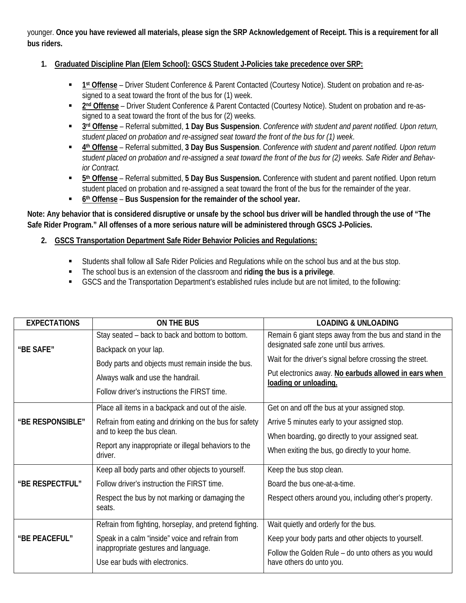younger. **Once you have reviewed all materials, please sign the SRP Acknowledgement of Receipt. This is a requirement for all bus riders.**

#### **1. Graduated Discipline Plan (Elem School): GSCS Student J-Policies take precedence over SRP:**

- **1st Offense** Driver Student Conference & Parent Contacted (Courtesy Notice). Student on probation and re-assigned to a seat toward the front of the bus for (1) week.
- **2nd Offense** Driver Student Conference & Parent Contacted (Courtesy Notice). Student on probation and re-assigned to a seat toward the front of the bus for (2) weeks.
- **3rd Offense** Referral submitted, **1 Day Bus Suspension**. *Conference with student and parent notified. Upon return, student placed on probation and re-assigned seat toward the front of the bus for (1) week*.
- **4th Offense** Referral submitted, **3 Day Bus Suspension**. *Conference with student and parent notified. Upon return student placed on probation and re-assigned a seat toward the front of the bus for (2) weeks. Safe Rider and Behavior Contract.*
- **5th Offense** Referral submitted, **5 Day Bus Suspension.** Conference with student and parent notified. Upon return student placed on probation and re-assigned a seat toward the front of the bus for the remainder of the year.
- **6th Offense Bus Suspension for the remainder of the school year.**

**Note: Any behavior that is considered disruptive or unsafe by the school bus driver will be handled through the use of "The Safe Rider Program." All offenses of a more serious nature will be administered through GSCS J-Policies.**

- **2. GSCS Transportation Department Safe Rider Behavior Policies and Regulations:**
	- Students shall follow all Safe Rider Policies and Regulations while on the school bus and at the bus stop.
	- The school bus is an extension of the classroom and **riding the bus is a privilege**.
	- GSCS and the Transportation Department's established rules include but are not limited, to the following:

| <b>EXPECTATIONS</b> | ON THE BUS                                                      | <b>LOADING &amp; UNLOADING</b>                                                 |
|---------------------|-----------------------------------------------------------------|--------------------------------------------------------------------------------|
|                     | Stay seated – back to back and bottom to bottom.                | Remain 6 giant steps away from the bus and stand in the                        |
| "BE SAFE"           | Backpack on your lap.                                           | designated safe zone until bus arrives.                                        |
|                     | Body parts and objects must remain inside the bus.              | Wait for the driver's signal before crossing the street.                       |
|                     | Always walk and use the handrail.                               | Put electronics away. No earbuds allowed in ears when<br>loading or unloading. |
|                     | Follow driver's instructions the FIRST time.                    |                                                                                |
|                     | Place all items in a backpack and out of the aisle.             | Get on and off the bus at your assigned stop.                                  |
| "BE RESPONSIBLE"    | Refrain from eating and drinking on the bus for safety          | Arrive 5 minutes early to your assigned stop.                                  |
|                     | and to keep the bus clean.                                      | When boarding, go directly to your assigned seat.                              |
|                     | Report any inappropriate or illegal behaviors to the<br>driver. | When exiting the bus, go directly to your home.                                |
|                     | Keep all body parts and other objects to yourself.              | Keep the bus stop clean.                                                       |
| "BE RESPECTFUL"     | Follow driver's instruction the FIRST time.                     | Board the bus one-at-a-time.                                                   |
|                     | Respect the bus by not marking or damaging the<br>seats.        | Respect others around you, including other's property.                         |
|                     | Refrain from fighting, horseplay, and pretend fighting.         | Wait quietly and orderly for the bus.                                          |
| "BE PEACEFUL"       | Speak in a calm "inside" voice and refrain from                 | Keep your body parts and other objects to yourself.                            |
|                     | inappropriate gestures and language.                            | Follow the Golden Rule - do unto others as you would                           |
|                     | Use ear buds with electronics.                                  | have others do unto you.                                                       |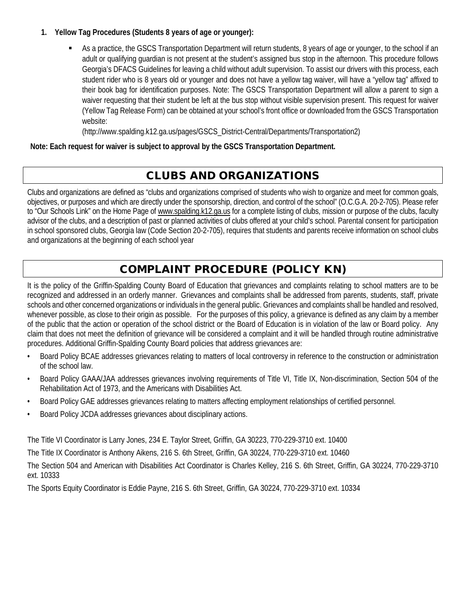#### **1. Yellow Tag Procedures (Students 8 years of age or younger):**

 As a practice, the GSCS Transportation Department will return students, 8 years of age or younger, to the school if an adult or qualifying guardian is not present at the student's assigned bus stop in the afternoon. This procedure follows Georgia's DFACS Guidelines for leaving a child without adult supervision. To assist our drivers with this process, each student rider who is 8 years old or younger and does not have a yellow tag waiver, will have a "yellow tag" affixed to their book bag for identification purposes. Note: The GSCS Transportation Department will allow a parent to sign a waiver requesting that their student be left at the bus stop without visible supervision present. This request for waiver (Yellow Tag Release Form) can be obtained at your school's front office or downloaded from the GSCS Transportation website:

(http://www.spalding.k12.ga.us/pages/GSCS\_District-Central/Departments/Transportation2)

**Note: Each request for waiver is subject to approval by the GSCS Transportation Department.**

# CLUBS AND ORGANIZATIONS

Clubs and organizations are defined as "clubs and organizations comprised of students who wish to organize and meet for common goals, objectives, or purposes and which are directly under the sponsorship, direction, and control of the school" (O.C.G.A. 20-2-705). Please refer to "Our Schools Link" on the Home Page of www.spalding.k12.ga.us for a complete listing of clubs, mission or purpose of the clubs, faculty advisor of the clubs, and a description of past or planned activities of clubs offered at your child's school. Parental consent for participation in school sponsored clubs, Georgia law (Code Section 20-2-705), requires that students and parents receive information on school clubs and organizations at the beginning of each school year

# COMPLAINT PROCEDURE (POLICY KN)

It is the policy of the Griffin-Spalding County Board of Education that grievances and complaints relating to school matters are to be recognized and addressed in an orderly manner. Grievances and complaints shall be addressed from parents, students, staff, private schools and other concerned organizations or individuals in the general public. Grievances and complaints shall be handled and resolved, whenever possible, as close to their origin as possible. For the purposes of this policy, a grievance is defined as any claim by a member of the public that the action or operation of the school district or the Board of Education is in violation of the law or Board policy. Any claim that does not meet the definition of grievance will be considered a complaint and it will be handled through routine administrative procedures. Additional Griffin-Spalding County Board policies that address grievances are:

- Board Policy BCAE addresses grievances relating to matters of local controversy in reference to the construction or administration of the school law.
- Board Policy GAAA/JAA addresses grievances involving requirements of Title VI, Title IX, Non-discrimination, Section 504 of the Rehabilitation Act of 1973, and the Americans with Disabilities Act.
- Board Policy GAE addresses grievances relating to matters affecting employment relationships of certified personnel.
- Board Policy JCDA addresses grievances about disciplinary actions.

The Title VI Coordinator is Larry Jones, 234 E. Taylor Street, Griffin, GA 30223, 770-229-3710 ext. 10400

The Title IX Coordinator is Anthony Aikens, 216 S. 6th Street, Griffin, GA 30224, 770-229-3710 ext. 10460

The Section 504 and American with Disabilities Act Coordinator is Charles Kelley, 216 S. 6th Street, Griffin, GA 30224, 770-229-3710 ext. 10333

The Sports Equity Coordinator is Eddie Payne, 216 S. 6th Street, Griffin, GA 30224, 770-229-3710 ext. 10334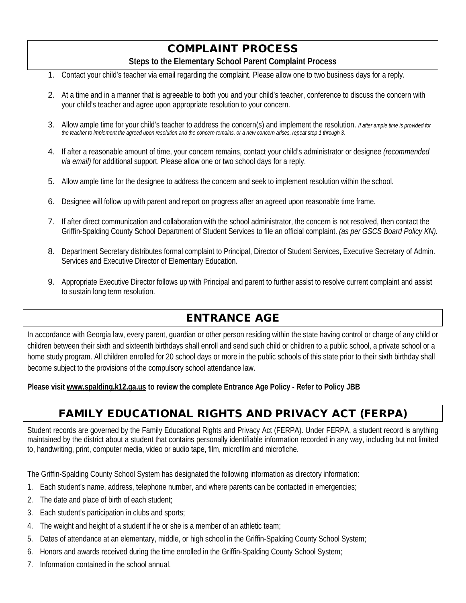# COMPLAINT PROCESS

#### **Steps to the Elementary School Parent Complaint Process**

- 1. Contact your child's teacher via email regarding the complaint. Please allow one to two business days for a reply.
- 2. At a time and in a manner that is agreeable to both you and your child's teacher, conference to discuss the concern with your child's teacher and agree upon appropriate resolution to your concern.
- 3. Allow ample time for your child's teacher to address the concern(s) and implement the resolution. *If after ample time is provided for the teacher to implement the agreed upon resolution and the concern remains, or a new concern arises, repeat step 1 through 3.*
- 4. If after a reasonable amount of time, your concern remains, contact your child's administrator or designee *(recommended via email)* for additional support. Please allow one or two school days for a reply.
- 5. Allow ample time for the designee to address the concern and seek to implement resolution within the school.
- 6. Designee will follow up with parent and report on progress after an agreed upon reasonable time frame.
- 7. If after direct communication and collaboration with the school administrator, the concern is not resolved, then contact the Griffin-Spalding County School Department of Student Services to file an official complaint. *(as per GSCS Board Policy KN).*
- 8. Department Secretary distributes formal complaint to Principal, Director of Student Services, Executive Secretary of Admin. Services and Executive Director of Elementary Education.
- 9. Appropriate Executive Director follows up with Principal and parent to further assist to resolve current complaint and assist to sustain long term resolution.

# ENTRANCE AGE

In accordance with Georgia law, every parent, guardian or other person residing within the state having control or charge of any child or children between their sixth and sixteenth birthdays shall enroll and send such child or children to a public school, a private school or a home study program. All children enrolled for 20 school days or more in the public schools of this state prior to their sixth birthday shall become subject to the provisions of the compulsory school attendance law.

**Please visi[t www.spalding.k12.ga.us](http://www.spalding.k12.ga.us/) to review the complete Entrance Age Policy - Refer to Policy JBB**

# FAMILY EDUCATIONAL RIGHTS AND PRIVACY ACT (FERPA)

Student records are governed by the Family Educational Rights and Privacy Act (FERPA). Under FERPA, a student record is anything maintained by the district about a student that contains personally identifiable information recorded in any way, including but not limited to, handwriting, print, computer media, video or audio tape, film, microfilm and microfiche.

The Griffin-Spalding County School System has designated the following information as directory information:

- 1. Each student's name, address, telephone number, and where parents can be contacted in emergencies;
- 2. The date and place of birth of each student;
- 3. Each student's participation in clubs and sports;
- 4. The weight and height of a student if he or she is a member of an athletic team;
- 5. Dates of attendance at an elementary, middle, or high school in the Griffin-Spalding County School System;
- 6. Honors and awards received during the time enrolled in the Griffin-Spalding County School System;
- 7. Information contained in the school annual.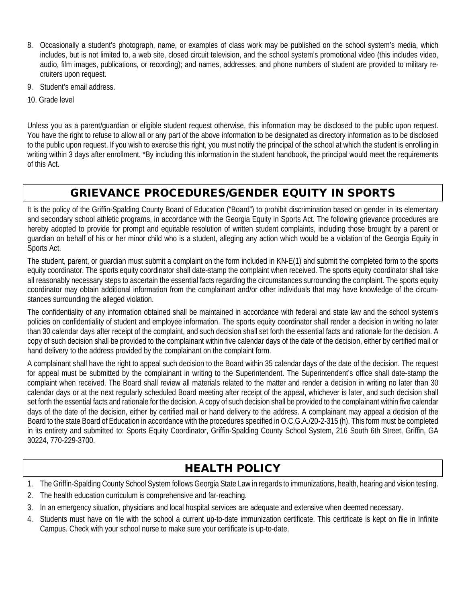- 8. Occasionally a student's photograph, name, or examples of class work may be published on the school system's media, which includes, but is not limited to, a web site, closed circuit television, and the school system's promotional video (this includes video, audio, film images, publications, or recording); and names, addresses, and phone numbers of student are provided to military recruiters upon request.
- 9. Student's email address.
- 10. Grade level

Unless you as a parent/guardian or eligible student request otherwise, this information may be disclosed to the public upon request. You have the right to refuse to allow all or any part of the above information to be designated as directory information as to be disclosed to the public upon request. If you wish to exercise this right, you must notify the principal of the school at which the student is enrolling in writing within 3 days after enrollment. \*By including this information in the student handbook, the principal would meet the requirements of this Act.

# GRIEVANCE PROCEDURES/GENDER EQUITY IN SPORTS

It is the policy of the Griffin-Spalding County Board of Education ("Board") to prohibit discrimination based on gender in its elementary and secondary school athletic programs, in accordance with the Georgia Equity in Sports Act. The following grievance procedures are hereby adopted to provide for prompt and equitable resolution of written student complaints, including those brought by a parent or guardian on behalf of his or her minor child who is a student, alleging any action which would be a violation of the Georgia Equity in Sports Act.

The student, parent, or guardian must submit a complaint on the form included in KN-E(1) and submit the completed form to the sports equity coordinator. The sports equity coordinator shall date-stamp the complaint when received. The sports equity coordinator shall take all reasonably necessary steps to ascertain the essential facts regarding the circumstances surrounding the complaint. The sports equity coordinator may obtain additional information from the complainant and/or other individuals that may have knowledge of the circumstances surrounding the alleged violation.

The confidentiality of any information obtained shall be maintained in accordance with federal and state law and the school system's policies on confidentiality of student and employee information. The sports equity coordinator shall render a decision in writing no later than 30 calendar days after receipt of the complaint, and such decision shall set forth the essential facts and rationale for the decision. A copy of such decision shall be provided to the complainant within five calendar days of the date of the decision, either by certified mail or hand delivery to the address provided by the complainant on the complaint form.

A complainant shall have the right to appeal such decision to the Board within 35 calendar days of the date of the decision. The request for appeal must be submitted by the complainant in writing to the Superintendent. The Superintendent's office shall date-stamp the complaint when received. The Board shall review all materials related to the matter and render a decision in writing no later than 30 calendar days or at the next regularly scheduled Board meeting after receipt of the appeal, whichever is later, and such decision shall set forth the essential facts and rationale for the decision. A copy of such decision shall be provided to the complainant within five calendar days of the date of the decision, either by certified mail or hand delivery to the address. A complainant may appeal a decision of the Board to the state Board of Education in accordance with the procedures specified in O.C.G.A./20-2-315 (h). This form must be completed in its entirety and submitted to: Sports Equity Coordinator, Griffin-Spalding County School System, 216 South 6th Street, Griffin, GA 30224, 770-229-3700.

# HEALTH POLICY

- 1. The Griffin-Spalding County School System follows Georgia State Law in regards to immunizations, health, hearing and vision testing.
- 2. The health education curriculum is comprehensive and far-reaching.
- 3. In an emergency situation, physicians and local hospital services are adequate and extensive when deemed necessary.
- 4. Students must have on file with the school a current up-to-date immunization certificate. This certificate is kept on file in Infinite Campus. Check with your school nurse to make sure your certificate is up-to-date.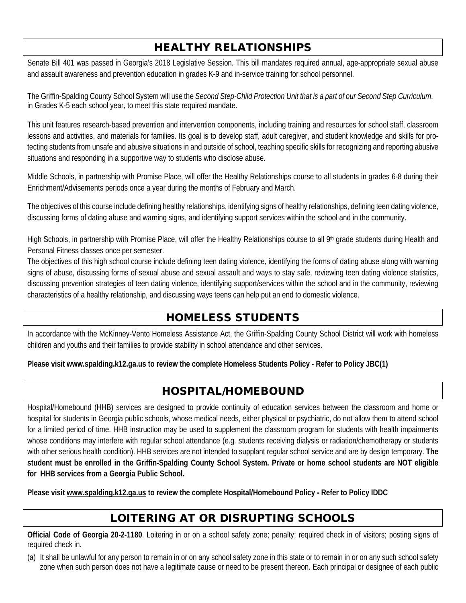# HEALTHY RELATIONSHIPS

Senate Bill 401 was passed in Georgia's 2018 Legislative Session. This bill mandates required annual, age-appropriate sexual abuse and assault awareness and prevention education in grades K-9 and in-service training for school personnel.

The Griffin-Spalding County School System will use the *Second Step-Child Protection Unit that is a part of our Second Step Curriculum*, in Grades K-5 each school year, to meet this state required mandate.

This unit features research-based prevention and intervention components, including training and resources for school staff, classroom lessons and activities, and materials for families. Its goal is to develop staff, adult caregiver, and student knowledge and skills for protecting students from unsafe and abusive situations in and outside of school, teaching specific skills for recognizing and reporting abusive situations and responding in a supportive way to students who disclose abuse.

Middle Schools, in partnership with Promise Place, will offer the Healthy Relationships course to all students in grades 6-8 during their Enrichment/Advisements periods once a year during the months of February and March.

The objectives of this course include defining healthy relationships, identifying signs of healthy relationships, defining teen dating violence, discussing forms of dating abuse and warning signs, and identifying support services within the school and in the community.

High Schools, in partnership with Promise Place, will offer the Healthy Relationships course to all 9<sup>th</sup> grade students during Health and Personal Fitness classes once per semester.

The objectives of this high school course include defining teen dating violence, identifying the forms of dating abuse along with warning signs of abuse, discussing forms of sexual abuse and sexual assault and ways to stay safe, reviewing teen dating violence statistics, discussing prevention strategies of teen dating violence, identifying support/services within the school and in the community, reviewing characteristics of a healthy relationship, and discussing ways teens can help put an end to domestic violence.

# HOMELESS STUDENTS

In accordance with the McKinney-Vento Homeless Assistance Act, the Griffin-Spalding County School District will work with homeless children and youths and their families to provide stability in school attendance and other services.

**Please visi[t www.spalding.k12.ga.us](http://www.spalding.k12.ga.us/) to review the complete Homeless Students Policy - Refer to Policy JBC(1)**

# HOSPITAL/HOMEBOUND

Hospital/Homebound (HHB) services are designed to provide continuity of education services between the classroom and home or hospital for students in Georgia public schools, whose medical needs, either physical or psychiatric, do not allow them to attend school for a limited period of time. HHB instruction may be used to supplement the classroom program for students with health impairments whose conditions may interfere with regular school attendance (e.g. students receiving dialysis or radiation/chemotherapy or students with other serious health condition). HHB services are not intended to supplant regular school service and are by design temporary. **The student must be enrolled in the Griffin-Spalding County School System. Private or home school students are NOT eligible for HHB services from a Georgia Public School.**

**Please visi[t www.spalding.k12.ga.us](http://www.spalding.k12.ga.us/) to review the complete Hospital/Homebound Policy - Refer to Policy IDDC**

# LOITERING AT OR DISRUPTING SCHOOLS

**Official Code of Georgia 20-2-1180**. Loitering in or on a school safety zone; penalty; required check in of visitors; posting signs of required check in.

(a) It shall be unlawful for any person to remain in or on any school safety zone in this state or to remain in or on any such school safety zone when such person does not have a legitimate cause or need to be present thereon. Each principal or designee of each public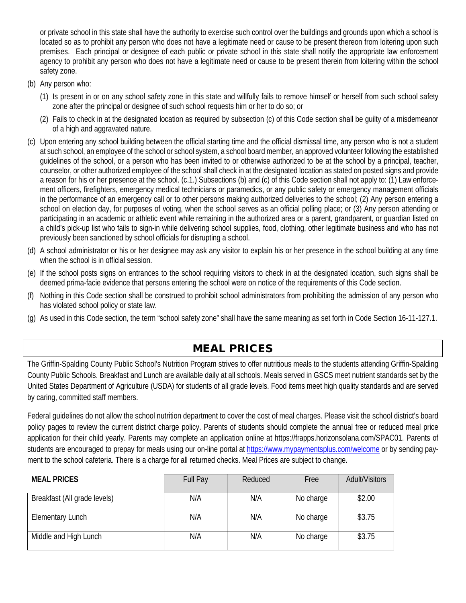or private school in this state shall have the authority to exercise such control over the buildings and grounds upon which a school is located so as to prohibit any person who does not have a legitimate need or cause to be present thereon from loitering upon such premises. Each principal or designee of each public or private school in this state shall notify the appropriate law enforcement agency to prohibit any person who does not have a legitimate need or cause to be present therein from loitering within the school safety zone.

- (b) Any person who:
	- (1) Is present in or on any school safety zone in this state and willfully fails to remove himself or herself from such school safety zone after the principal or designee of such school requests him or her to do so; or
	- (2) Fails to check in at the designated location as required by subsection (c) of this Code section shall be guilty of a misdemeanor of a high and aggravated nature.
- (c) Upon entering any school building between the official starting time and the official dismissal time, any person who is not a student at such school, an employee of the school or school system, a school board member, an approved volunteer following the established guidelines of the school, or a person who has been invited to or otherwise authorized to be at the school by a principal, teacher, counselor, or other authorized employee of the school shall check in at the designated location as stated on posted signs and provide a reason for his or her presence at the school. (c.1.) Subsections (b) and (c) of this Code section shall not apply to: (1) Law enforcement officers, firefighters, emergency medical technicians or paramedics, or any public safety or emergency management officials in the performance of an emergency call or to other persons making authorized deliveries to the school; (2) Any person entering a school on election day, for purposes of voting, when the school serves as an official polling place; or (3) Any person attending or participating in an academic or athletic event while remaining in the authorized area or a parent, grandparent, or guardian listed on a child's pick-up list who fails to sign-in while delivering school supplies, food, clothing, other legitimate business and who has not previously been sanctioned by school officials for disrupting a school.
- (d) A school administrator or his or her designee may ask any visitor to explain his or her presence in the school building at any time when the school is in official session.
- (e) If the school posts signs on entrances to the school requiring visitors to check in at the designated location, such signs shall be deemed prima-facie evidence that persons entering the school were on notice of the requirements of this Code section.
- (f) Nothing in this Code section shall be construed to prohibit school administrators from prohibiting the admission of any person who has violated school policy or state law.
- (g) As used in this Code section, the term "school safety zone" shall have the same meaning as set forth in Code Section 16-11-127.1.

# MEAL PRICES

The Griffin-Spalding County Public School's Nutrition Program strives to offer nutritious meals to the students attending Griffin-Spalding County Public Schools. Breakfast and Lunch are available daily at all schools. Meals served in GSCS meet nutrient standards set by the United States Department of Agriculture (USDA) for students of all grade levels. Food items meet high quality standards and are served by caring, committed staff members.

Federal guidelines do not allow the school nutrition department to cover the cost of meal charges. Please visit the school district's board policy pages to review the current district charge policy. Parents of students should complete the annual free or reduced meal price application for their child yearly. Parents may complete an application online at https://frapps.horizonsolana.com/SPAC01. Parents of students are encouraged to prepay for meals using our on-line portal at<https://www.mypaymentsplus.com/welcome> or by sending payment to the school cafeteria. There is a charge for all returned checks. Meal Prices are subject to change.

| <b>MEAL PRICES</b>           | Full Pay | Reduced | Free      | <b>Adult/Visitors</b> |
|------------------------------|----------|---------|-----------|-----------------------|
| Breakfast (All grade levels) | N/A      | N/A     | No charge | \$2.00                |
| <b>Elementary Lunch</b>      | N/A      | N/A     | No charge | \$3.75                |
| Middle and High Lunch        | N/A      | N/A     | No charge | \$3.75                |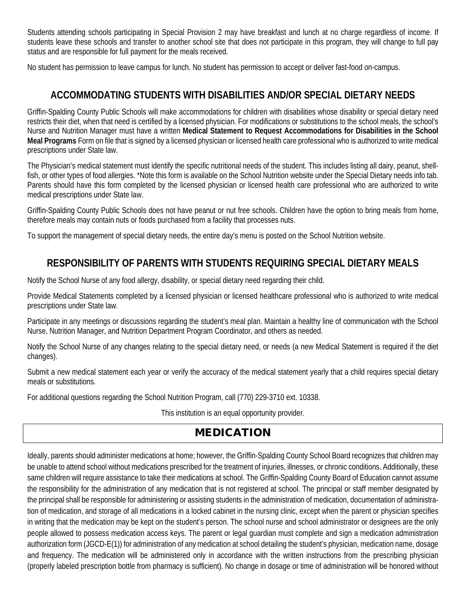Students attending schools participating in Special Provision 2 may have breakfast and lunch at no charge regardless of income. If students leave these schools and transfer to another school site that does not participate in this program, they will change to full pay status and are responsible for full payment for the meals received.

No student has permission to leave campus for lunch. No student has permission to accept or deliver fast-food on-campus.

# **ACCOMMODATING STUDENTS WITH DISABILITIES AND/OR SPECIAL DIETARY NEEDS**

Griffin-Spalding County Public Schools will make accommodations for children with disabilities whose disability or special dietary need restricts their diet, when that need is certified by a licensed physician. For modifications or substitutions to the school meals, the school's Nurse and Nutrition Manager must have a written **Medical Statement to Request Accommodations for Disabilities in the School Meal Programs** Form on file that is signed by a licensed physician or licensed health care professional who is authorized to write medical prescriptions under State law.

The Physician's medical statement must identify the specific nutritional needs of the student. This includes listing all dairy, peanut, shellfish, or other types of food allergies. \*Note this form is available on the School Nutrition website under the Special Dietary needs info tab. Parents should have this form completed by the licensed physician or licensed health care professional who are authorized to write medical prescriptions under State law.

Griffin-Spalding County Public Schools does not have peanut or nut free schools. Children have the option to bring meals from home, therefore meals may contain nuts or foods purchased from a facility that processes nuts.

To support the management of special dietary needs, the entire day's menu is posted on the School Nutrition website.

# **RESPONSIBILITY OF PARENTS WITH STUDENTS REQUIRING SPECIAL DIETARY MEALS**

Notify the School Nurse of any food allergy, disability, or special dietary need regarding their child.

Provide Medical Statements completed by a licensed physician or licensed healthcare professional who is authorized to write medical prescriptions under State law.

Participate in any meetings or discussions regarding the student's meal plan. Maintain a healthy line of communication with the School Nurse, Nutrition Manager, and Nutrition Department Program Coordinator, and others as needed.

Notify the School Nurse of any changes relating to the special dietary need, or needs (a new Medical Statement is required if the diet changes).

Submit a new medical statement each year or verify the accuracy of the medical statement yearly that a child requires special dietary meals or substitutions.

For additional questions regarding the School Nutrition Program, call (770) 229-3710 ext. 10338.

This institution is an equal opportunity provider.

# MEDICATION

Ideally, parents should administer medications at home; however, the Griffin-Spalding County School Board recognizes that children may be unable to attend school without medications prescribed for the treatment of injuries, illnesses, or chronic conditions. Additionally, these same children will require assistance to take their medications at school. The Griffin-Spalding County Board of Education cannot assume the responsibility for the administration of any medication that is not registered at school. The principal or staff member designated by the principal shall be responsible for administering or assisting students in the administration of medication, documentation of administration of medication, and storage of all medications in a locked cabinet in the nursing clinic, except when the parent or physician specifies in writing that the medication may be kept on the student's person. The school nurse and school administrator or designees are the only people allowed to possess medication access keys. The parent or legal guardian must complete and sign a medication administration authorization form (JGCD-E(1)) for administration of any medication at school detailing the student's physician, medication name, dosage and frequency. The medication will be administered only in accordance with the written instructions from the prescribing physician (properly labeled prescription bottle from pharmacy is sufficient). No change in dosage or time of administration will be honored without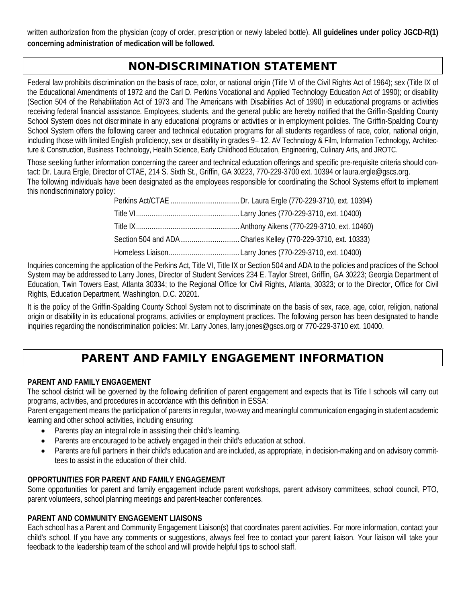written authorization from the physician (copy of order, prescription or newly labeled bottle). **All guidelines under policy JGCD-R(1) concerning administration of medication will be followed.**

# NON-DISCRIMINATION STATEMENT

Federal law prohibits discrimination on the basis of race, color, or national origin (Title VI of the Civil Rights Act of 1964); sex (Title IX of the Educational Amendments of 1972 and the Carl D. Perkins Vocational and Applied Technology Education Act of 1990); or disability (Section 504 of the Rehabilitation Act of 1973 and The Americans with Disabilities Act of 1990) in educational programs or activities receiving federal financial assistance. Employees, students, and the general public are hereby notified that the Griffin-Spalding County School System does not discriminate in any educational programs or activities or in employment policies. The Griffin-Spalding County School System offers the following career and technical education programs for all students regardless of race, color, national origin, including those with limited English proficiency, sex or disability in grades 9– 12. AV Technology & Film, Information Technology, Architecture & Construction, Business Technology, Health Science, Early Childhood Education, Engineering, Culinary Arts, and JROTC.

Those seeking further information concerning the career and technical education offerings and specific pre-requisite criteria should contact: Dr. Laura Ergle, Director of CTAE, 214 S. Sixth St., Griffin, GA 30223, 770-229-3700 ext. 10394 or laura.ergle@gscs.org. The following individuals have been designated as the employees responsible for coordinating the School Systems effort to implement this nondiscriminatory policy:

| Section 504 and ADACharles Kelley (770-229-3710, ext. 10333) |
|--------------------------------------------------------------|
|                                                              |

Inquiries concerning the application of the Perkins Act, Title VI, Title IX or Section 504 and ADA to the policies and practices of the School System may be addressed to Larry Jones, Director of Student Services 234 E. Taylor Street, Griffin, GA 30223; Georgia Department of Education, Twin Towers East, Atlanta 30334; to the Regional Office for Civil Rights, Atlanta, 30323; or to the Director, Office for Civil Rights, Education Department, Washington, D.C. 20201.

It is the policy of the Griffin-Spalding County School System not to discriminate on the basis of sex, race, age, color, religion, national origin or disability in its educational programs, activities or employment practices. The following person has been designated to handle inquiries regarding the nondiscrimination policies: Mr. Larry Jones, larry.jones@gscs.org or 770-229-3710 ext. 10400.

# PARENT AND FAMILY ENGAGEMENT INFORMATION

#### **PARENT AND FAMILY ENGAGEMENT**

The school district will be governed by the following definition of parent engagement and expects that its Title I schools will carry out programs, activities, and procedures in accordance with this definition in ESSA:

Parent engagement means the participation of parents in regular, two-way and meaningful communication engaging in student academic learning and other school activities, including ensuring:

- Parents play an integral role in assisting their child's learning.
- Parents are encouraged to be actively engaged in their child's education at school.
- Parents are full partners in their child's education and are included, as appropriate, in decision-making and on advisory committees to assist in the education of their child.

## **OPPORTUNITIES FOR PARENT AND FAMILY ENGAGEMENT**

Some opportunities for parent and family engagement include parent workshops, parent advisory committees, school council, PTO, parent volunteers, school planning meetings and parent-teacher conferences.

#### **PARENT AND COMMUNITY ENGAGEMENT LIAISONS**

Each school has a Parent and Community Engagement Liaison(s) that coordinates parent activities. For more information, contact your child's school. If you have any comments or suggestions, always feel free to contact your parent liaison. Your liaison will take your feedback to the leadership team of the school and will provide helpful tips to school staff.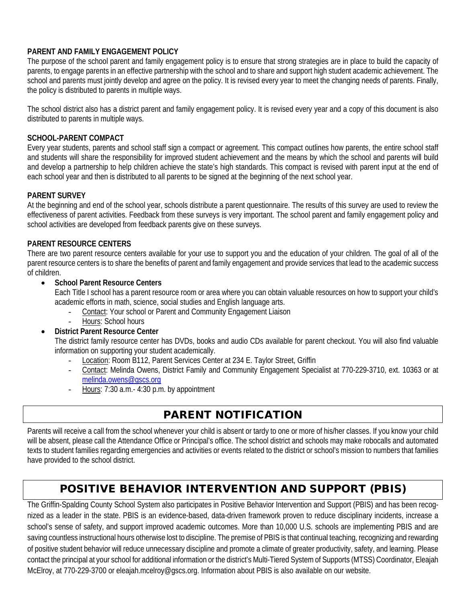## **PARENT AND FAMILY ENGAGEMENT POLICY**

The purpose of the school parent and family engagement policy is to ensure that strong strategies are in place to build the capacity of parents, to engage parents in an effective partnership with the school and to share and support high student academic achievement. The school and parents must jointly develop and agree on the policy. It is revised every year to meet the changing needs of parents. Finally, the policy is distributed to parents in multiple ways.

The school district also has a district parent and family engagement policy. It is revised every year and a copy of this document is also distributed to parents in multiple ways.

#### **SCHOOL-PARENT COMPACT**

Every year students, parents and school staff sign a compact or agreement. This compact outlines how parents, the entire school staff and students will share the responsibility for improved student achievement and the means by which the school and parents will build and develop a partnership to help children achieve the state's high standards. This compact is revised with parent input at the end of each school year and then is distributed to all parents to be signed at the beginning of the next school year.

#### **PARENT SURVEY**

At the beginning and end of the school year, schools distribute a parent questionnaire. The results of this survey are used to review the effectiveness of parent activities. Feedback from these surveys is very important. The school parent and family engagement policy and school activities are developed from feedback parents give on these surveys.

#### **PARENT RESOURCE CENTERS**

There are two parent resource centers available for your use to support you and the education of your children. The goal of all of the parent resource centers is to share the benefits of parent and family engagement and provide services that lead to the academic success of children.

#### • **School Parent Resource Centers**

Each Title I school has a parent resource room or area where you can obtain valuable resources on how to support your child's academic efforts in math, science, social studies and English language arts.

- Contact: Your school or Parent and Community Engagement Liaison
- Hours: School hours
- **District Parent Resource Center**

The district family resource center has DVDs, books and audio CDs available for parent checkout. You will also find valuable information on supporting your student academically.

- Location: Room B112, Parent Services Center at 234 E. Taylor Street, Griffin
- Contact: Melinda Owens, District Family and Community Engagement Specialist at 770-229-3710, ext. 10363 or at [melinda.owens@gscs.org](mailto:melinda.owens@gscs.org)
- Hours: 7:30 a.m.- 4:30 p.m. by appointment

# PARENT NOTIFICATION

Parents will receive a call from the school whenever your child is absent or tardy to one or more of his/her classes. If you know your child will be absent, please call the Attendance Office or Principal's office. The school district and schools may make robocalls and automated texts to student families regarding emergencies and activities or events related to the district or school's mission to numbers that families have provided to the school district.

# POSITIVE BEHAVIOR INTERVENTION AND SUPPORT (PBIS)

The Griffin-Spalding County School System also participates in Positive Behavior Intervention and Support (PBIS) and has been recognized as a leader in the state. PBIS is an evidence-based, data-driven framework proven to reduce disciplinary incidents, increase a school's sense of safety, and support improved academic outcomes. More than 10,000 U.S. schools are implementing PBIS and are saving countless instructional hours otherwise lost to discipline. The premise of PBIS is that continual teaching, recognizing and rewarding of positive student behavior will reduce unnecessary discipline and promote a climate of greater productivity, safety, and learning. Please contact the principal at your school for additional information or the district's Multi-Tiered System of Supports (MTSS) Coordinator, Eleajah McElroy, at 770-229-3700 or eleajah.mcelroy@gscs.org. Information about PBIS is also available on our website.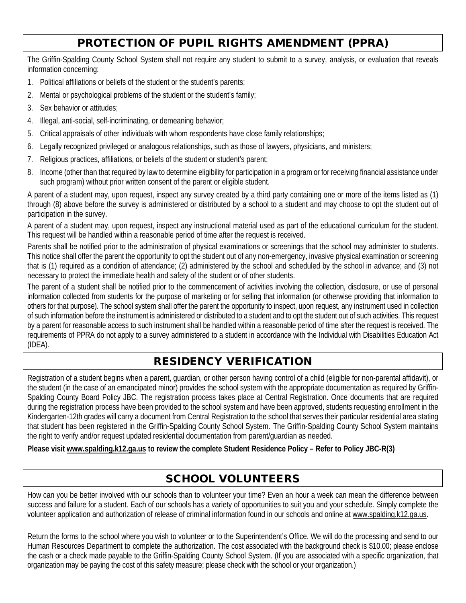# PROTECTION OF PUPIL RIGHTS AMENDMENT (PPRA)

The Griffin-Spalding County School System shall not require any student to submit to a survey, analysis, or evaluation that reveals information concerning:

- 1. Political affiliations or beliefs of the student or the student's parents;
- 2. Mental or psychological problems of the student or the student's family;
- 3. Sex behavior or attitudes;
- 4. Illegal, anti-social, self-incriminating, or demeaning behavior;
- 5. Critical appraisals of other individuals with whom respondents have close family relationships;
- 6. Legally recognized privileged or analogous relationships, such as those of lawyers, physicians, and ministers;
- 7. Religious practices, affiliations, or beliefs of the student or student's parent;
- 8. Income (other than that required by law to determine eligibility for participation in a program or for receiving financial assistance under such program) without prior written consent of the parent or eligible student.

A parent of a student may, upon request, inspect any survey created by a third party containing one or more of the items listed as (1) through (8) above before the survey is administered or distributed by a school to a student and may choose to opt the student out of participation in the survey.

A parent of a student may, upon request, inspect any instructional material used as part of the educational curriculum for the student. This request will be handled within a reasonable period of time after the request is received.

Parents shall be notified prior to the administration of physical examinations or screenings that the school may administer to students. This notice shall offer the parent the opportunity to opt the student out of any non-emergency, invasive physical examination or screening that is (1) required as a condition of attendance; (2) administered by the school and scheduled by the school in advance; and (3) not necessary to protect the immediate health and safety of the student or of other students.

The parent of a student shall be notified prior to the commencement of activities involving the collection, disclosure, or use of personal information collected from students for the purpose of marketing or for selling that information (or otherwise providing that information to others for that purpose). The school system shall offer the parent the opportunity to inspect, upon request, any instrument used in collection of such information before the instrument is administered or distributed to a student and to opt the student out of such activities. This request by a parent for reasonable access to such instrument shall be handled within a reasonable period of time after the request is received. The requirements of PPRA do not apply to a survey administered to a student in accordance with the Individual with Disabilities Education Act (IDEA).

# RESIDENCY VERIFICATION

Registration of a student begins when a parent, guardian, or other person having control of a child (eligible for non-parental affidavit), or the student (in the case of an emancipated minor) provides the school system with the appropriate documentation as required by Griffin-Spalding County Board Policy JBC. The registration process takes place at Central Registration. Once documents that are required during the registration process have been provided to the school system and have been approved, students requesting enrollment in the Kindergarten-12th grades will carry a document from Central Registration to the school that serves their particular residential area stating that student has been registered in the Griffin-Spalding County School System. The Griffin-Spalding County School System maintains the right to verify and/or request updated residential documentation from parent/guardian as needed.

**Please visi[t www.spalding.k12.ga.us](http://www.spalding.k12.ga.us/) to review the complete Student Residence Policy – Refer to Policy JBC-R(3)**

# SCHOOL VOLUNTEERS

How can you be better involved with our schools than to volunteer your time? Even an hour a week can mean the difference between success and failure for a student. Each of our schools has a variety of opportunities to suit you and your schedule. Simply complete the volunteer application and authorization of release of criminal information found in our schools and online at www.spalding.k12.ga.us.

Return the forms to the school where you wish to volunteer or to the Superintendent's Office. We will do the processing and send to our Human Resources Department to complete the authorization. The cost associated with the background check is \$10.00; please enclose the cash or a check made payable to the Griffin-Spalding County School System. (If you are associated with a specific organization, that organization may be paying the cost of this safety measure; please check with the school or your organization.)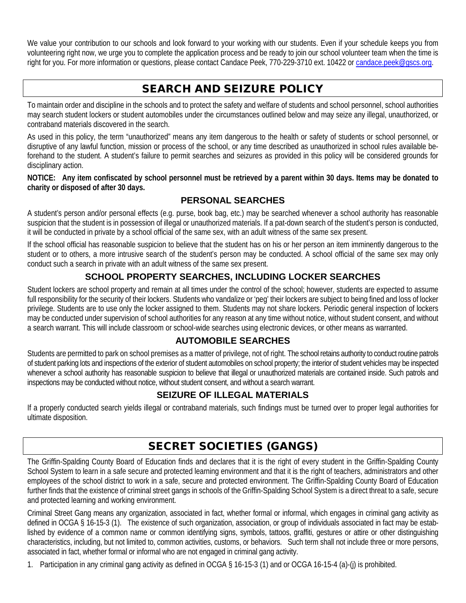We value your contribution to our schools and look forward to your working with our students. Even if your schedule keeps you from volunteering right now, we urge you to complete the application process and be ready to join our school volunteer team when the time is right for you. For more information or questions, please contact Candace Peek, 770-229-3710 ext. 10422 or [candace.peek@gscs.org.](mailto:candace.peek@gscs.org)

# SEARCH AND SEIZURE POLICY

To maintain order and discipline in the schools and to protect the safety and welfare of students and school personnel, school authorities may search student lockers or student automobiles under the circumstances outlined below and may seize any illegal, unauthorized, or contraband materials discovered in the search.

As used in this policy, the term "unauthorized" means any item dangerous to the health or safety of students or school personnel, or disruptive of any lawful function, mission or process of the school, or any time described as unauthorized in school rules available beforehand to the student. A student's failure to permit searches and seizures as provided in this policy will be considered grounds for disciplinary action.

**NOTICE: Any item confiscated by school personnel must be retrieved by a parent within 30 days. Items may be donated to charity or disposed of after 30 days.**

## **PERSONAL SEARCHES**

A student's person and/or personal effects (e.g. purse, book bag, etc.) may be searched whenever a school authority has reasonable suspicion that the student is in possession of illegal or unauthorized materials. If a pat-down search of the student's person is conducted, it will be conducted in private by a school official of the same sex, with an adult witness of the same sex present.

If the school official has reasonable suspicion to believe that the student has on his or her person an item imminently dangerous to the student or to others, a more intrusive search of the student's person may be conducted. A school official of the same sex may only conduct such a search in private with an adult witness of the same sex present.

# **SCHOOL PROPERTY SEARCHES, INCLUDING LOCKER SEARCHES**

Student lockers are school property and remain at all times under the control of the school; however, students are expected to assume full responsibility for the security of their lockers. Students who vandalize or 'peg' their lockers are subject to being fined and loss of locker privilege. Students are to use only the locker assigned to them. Students may not share lockers. Periodic general inspection of lockers may be conducted under supervision of school authorities for any reason at any time without notice, without student consent, and without a search warrant. This will include classroom or school-wide searches using electronic devices, or other means as warranted.

## **AUTOMOBILE SEARCHES**

Students are permitted to park on school premises as a matter of privilege, not of right. The school retains authority to conduct routine patrols of student parking lots and inspections of the exterior of student automobiles on school property; the interior of student vehicles may be inspected whenever a school authority has reasonable suspicion to believe that illegal or unauthorized materials are contained inside. Such patrols and inspections may be conducted without notice, without student consent, and without a search warrant.

## **SEIZURE OF ILLEGAL MATERIALS**

If a properly conducted search yields illegal or contraband materials, such findings must be turned over to proper legal authorities for ultimate disposition.

# SECRET SOCIETIES (GANGS)

The Griffin-Spalding County Board of Education finds and declares that it is the right of every student in the Griffin-Spalding County School System to learn in a safe secure and protected learning environment and that it is the right of teachers, administrators and other employees of the school district to work in a safe, secure and protected environment. The Griffin-Spalding County Board of Education further finds that the existence of criminal street gangs in schools of the Griffin-Spalding School System is a direct threat to a safe, secure and protected learning and working environment.

Criminal Street Gang means any organization, associated in fact, whether formal or informal, which engages in criminal gang activity as defined in OCGA § 16-15-3 (1). The existence of such organization, association, or group of individuals associated in fact may be established by evidence of a common name or common identifying signs, symbols, tattoos, graffiti, gestures or attire or other distinguishing characteristics, including, but not limited to, common activities, customs, or behaviors. Such term shall not include three or more persons, associated in fact, whether formal or informal who are not engaged in criminal gang activity.

1. Participation in any criminal gang activity as defined in OCGA § 16-15-3 (1) and or OCGA 16-15-4 (a)-(j) is prohibited.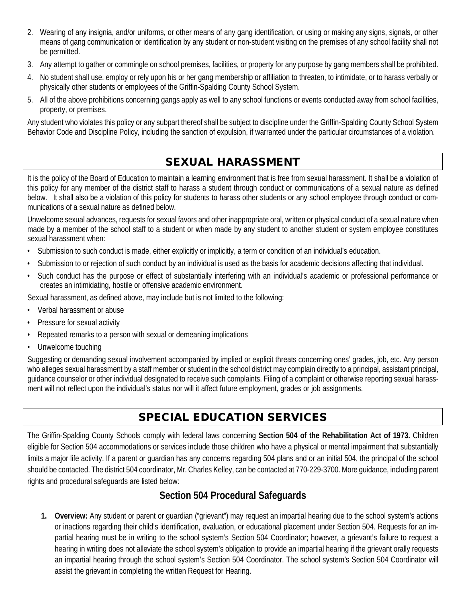- 2. Wearing of any insignia, and/or uniforms, or other means of any gang identification, or using or making any signs, signals, or other means of gang communication or identification by any student or non-student visiting on the premises of any school facility shall not be permitted.
- 3. Any attempt to gather or commingle on school premises, facilities, or property for any purpose by gang members shall be prohibited.
- 4. No student shall use, employ or rely upon his or her gang membership or affiliation to threaten, to intimidate, or to harass verbally or physically other students or employees of the Griffin-Spalding County School System.
- 5. All of the above prohibitions concerning gangs apply as well to any school functions or events conducted away from school facilities, property, or premises.

Any student who violates this policy or any subpart thereof shall be subject to discipline under the Griffin-Spalding County School System Behavior Code and Discipline Policy, including the sanction of expulsion, if warranted under the particular circumstances of a violation.

# SEXUAL HARASSMENT

It is the policy of the Board of Education to maintain a learning environment that is free from sexual harassment. It shall be a violation of this policy for any member of the district staff to harass a student through conduct or communications of a sexual nature as defined below. It shall also be a violation of this policy for students to harass other students or any school employee through conduct or communications of a sexual nature as defined below.

Unwelcome sexual advances, requests for sexual favors and other inappropriate oral, written or physical conduct of a sexual nature when made by a member of the school staff to a student or when made by any student to another student or system employee constitutes sexual harassment when:

- Submission to such conduct is made, either explicitly or implicitly, a term or condition of an individual's education.
- Submission to or rejection of such conduct by an individual is used as the basis for academic decisions affecting that individual.
- Such conduct has the purpose or effect of substantially interfering with an individual's academic or professional performance or creates an intimidating, hostile or offensive academic environment.

Sexual harassment, as defined above, may include but is not limited to the following:

- Verbal harassment or abuse
- Pressure for sexual activity
- Repeated remarks to a person with sexual or demeaning implications
- Unwelcome touching

Suggesting or demanding sexual involvement accompanied by implied or explicit threats concerning ones' grades, job, etc. Any person who alleges sexual harassment by a staff member or student in the school district may complain directly to a principal, assistant principal, guidance counselor or other individual designated to receive such complaints. Filing of a complaint or otherwise reporting sexual harassment will not reflect upon the individual's status nor will it affect future employment, grades or job assignments.

# SPECIAL EDUCATION SERVICES

The Griffin-Spalding County Schools comply with federal laws concerning **Section 504 of the Rehabilitation Act of 1973.** Children eligible for Section 504 accommodations or services include those children who have a physical or mental impairment that substantially limits a major life activity. If a parent or guardian has any concerns regarding 504 plans and or an initial 504, the principal of the school should be contacted. The district 504 coordinator, Mr. Charles Kelley, can be contacted at 770-229-3700. More guidance, including parent rights and procedural safeguards are listed below:

# **Section 504 Procedural Safeguards**

**1. Overview:** Any student or parent or guardian ("grievant") may request an impartial hearing due to the school system's actions or inactions regarding their child's identification, evaluation, or educational placement under Section 504. Requests for an impartial hearing must be in writing to the school system's Section 504 Coordinator; however, a grievant's failure to request a hearing in writing does not alleviate the school system's obligation to provide an impartial hearing if the grievant orally requests an impartial hearing through the school system's Section 504 Coordinator. The school system's Section 504 Coordinator will assist the grievant in completing the written Request for Hearing.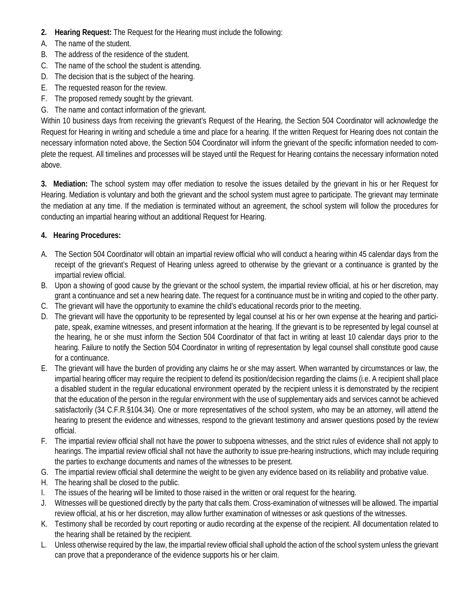- **2. Hearing Request:** The Request for the Hearing must include the following:
- A. The name of the student.
- B. The address of the residence of the student.
- C. The name of the school the student is attending.
- D. The decision that is the subject of the hearing.
- E. The requested reason for the review.
- F. The proposed remedy sought by the grievant.
- G. The name and contact information of the grievant.

Within 10 business days from receiving the grievant's Request of the Hearing, the Section 504 Coordinator will acknowledge the Request for Hearing in writing and schedule a time and place for a hearing. If the written Request for Hearing does not contain the necessary information noted above, the Section 504 Coordinator will inform the grievant of the specific information needed to complete the request. All timelines and processes will be stayed until the Request for Hearing contains the necessary information noted above.

**3. Mediation:** The school system may offer mediation to resolve the issues detailed by the grievant in his or her Request for Hearing. Mediation is voluntary and both the grievant and the school system must agree to participate. The grievant may terminate the mediation at any time. If the mediation is terminated without an agreement, the school system will follow the procedures for conducting an impartial hearing without an additional Request for Hearing.

## **4. Hearing Procedures:**

- A. The Section 504 Coordinator will obtain an impartial review official who will conduct a hearing within 45 calendar days from the receipt of the grievant's Request of Hearing unless agreed to otherwise by the grievant or a continuance is granted by the impartial review official.
- B. Upon a showing of good cause by the grievant or the school system, the impartial review official, at his or her discretion, may grant a continuance and set a new hearing date. The request for a continuance must be in writing and copied to the other party.
- C. The grievant will have the opportunity to examine the child's educational records prior to the meeting.
- D. The grievant will have the opportunity to be represented by legal counsel at his or her own expense at the hearing and participate, speak, examine witnesses, and present information at the hearing. If the grievant is to be represented by legal counsel at the hearing, he or she must inform the Section 504 Coordinator of that fact in writing at least 10 calendar days prior to the hearing. Failure to notify the Section 504 Coordinator in writing of representation by legal counsel shall constitute good cause for a continuance.
- E. The grievant will have the burden of providing any claims he or she may assert. When warranted by circumstances or law, the impartial hearing officer may require the recipient to defend its position/decision regarding the claims (i.e. A recipient shall place a disabled student in the regular educational environment operated by the recipient unless it is demonstrated by the recipient that the education of the person in the regular environment with the use of supplementary aids and services cannot be achieved satisfactorily (34 C.F.R.§104.34). One or more representatives of the school system, who may be an attorney, will attend the hearing to present the evidence and witnesses, respond to the grievant testimony and answer questions posed by the review official.
- F. The impartial review official shall not have the power to subpoena witnesses, and the strict rules of evidence shall not apply to hearings. The impartial review official shall not have the authority to issue pre-hearing instructions, which may include requiring the parties to exchange documents and names of the witnesses to be present.
- G. The impartial review official shall determine the weight to be given any evidence based on its reliability and probative value.
- H. The hearing shall be closed to the public.
- I. The issues of the hearing will be limited to those raised in the written or oral request for the hearing.
- J. Witnesses will be questioned directly by the party that calls them. Cross-examination of witnesses will be allowed. The impartial review official, at his or her discretion, may allow further examination of witnesses or ask questions of the witnesses.
- K. Testimony shall be recorded by court reporting or audio recording at the expense of the recipient. All documentation related to the hearing shall be retained by the recipient.
- L. Unless otherwise required by the law, the impartial review official shall uphold the action of the school system unless the grievant can prove that a preponderance of the evidence supports his or her claim.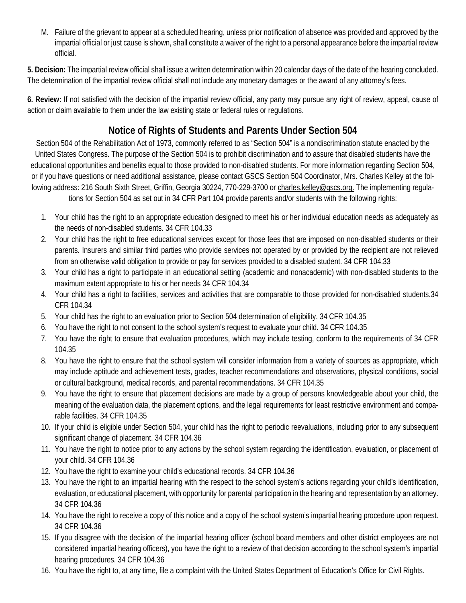M. Failure of the grievant to appear at a scheduled hearing, unless prior notification of absence was provided and approved by the impartial official or just cause is shown, shall constitute a waiver of the right to a personal appearance before the impartial review official.

**5. Decision:** The impartial review official shall issue a written determination within 20 calendar days of the date of the hearing concluded. The determination of the impartial review official shall not include any monetary damages or the award of any attorney's fees.

**6. Review:** If not satisfied with the decision of the impartial review official, any party may pursue any right of review, appeal, cause of action or claim available to them under the law existing state or federal rules or regulations.

# **Notice of Rights of Students and Parents Under Section 504**

Section 504 of the Rehabilitation Act of 1973, commonly referred to as "Section 504" is a nondiscrimination statute enacted by the United States Congress. The purpose of the Section 504 is to prohibit discrimination and to assure that disabled students have the educational opportunities and benefits equal to those provided to non-disabled students. For more information regarding Section 504, or if you have questions or need additional assistance, please contact GSCS Section 504 Coordinator, Mrs. Charles Kelley at the following address: 216 South Sixth Street, Griffin, Georgia 30224, 770-229-3700 or charles.kelley@gscs.org. The implementing regulations for Section 504 as set out in 34 CFR Part 104 provide parents and/or students with the following rights:

- 1. Your child has the right to an appropriate education designed to meet his or her individual education needs as adequately as the needs of non-disabled students. 34 CFR 104.33
- 2. Your child has the right to free educational services except for those fees that are imposed on non-disabled students or their parents. Insurers and similar third parties who provide services not operated by or provided by the recipient are not relieved from an otherwise valid obligation to provide or pay for services provided to a disabled student. 34 CFR 104.33
- 3. Your child has a right to participate in an educational setting (academic and nonacademic) with non-disabled students to the maximum extent appropriate to his or her needs 34 CFR 104.34
- 4. Your child has a right to facilities, services and activities that are comparable to those provided for non-disabled students.34 CFR 104.34
- 5. Your child has the right to an evaluation prior to Section 504 determination of eligibility. 34 CFR 104.35
- 6. You have the right to not consent to the school system's request to evaluate your child. 34 CFR 104.35
- 7. You have the right to ensure that evaluation procedures, which may include testing, conform to the requirements of 34 CFR 104.35
- 8. You have the right to ensure that the school system will consider information from a variety of sources as appropriate, which may include aptitude and achievement tests, grades, teacher recommendations and observations, physical conditions, social or cultural background, medical records, and parental recommendations. 34 CFR 104.35
- 9. You have the right to ensure that placement decisions are made by a group of persons knowledgeable about your child, the meaning of the evaluation data, the placement options, and the legal requirements for least restrictive environment and comparable facilities. 34 CFR 104.35
- 10. If your child is eligible under Section 504, your child has the right to periodic reevaluations, including prior to any subsequent significant change of placement. 34 CFR 104.36
- 11. You have the right to notice prior to any actions by the school system regarding the identification, evaluation, or placement of your child. 34 CFR 104.36
- 12. You have the right to examine your child's educational records. 34 CFR 104.36
- 13. You have the right to an impartial hearing with the respect to the school system's actions regarding your child's identification, evaluation, or educational placement, with opportunity for parental participation in the hearing and representation by an attorney. 34 CFR 104.36
- 14. You have the right to receive a copy of this notice and a copy of the school system's impartial hearing procedure upon request. 34 CFR 104.36
- 15. If you disagree with the decision of the impartial hearing officer (school board members and other district employees are not considered impartial hearing officers), you have the right to a review of that decision according to the school system's impartial hearing procedures. 34 CFR 104.36
- 16. You have the right to, at any time, file a complaint with the United States Department of Education's Office for Civil Rights.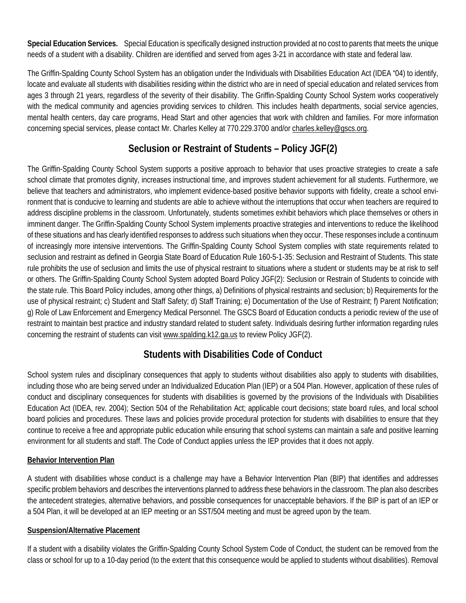**Special Education Services.** Special Education is specifically designed instruction provided at no cost to parents that meets the unique needs of a student with a disability. Children are identified and served from ages 3-21 in accordance with state and federal law.

The Griffin-Spalding County School System has an obligation under the Individuals with Disabilities Education Act (IDEA "04) to identify, locate and evaluate all students with disabilities residing within the district who are in need of special education and related services from ages 3 through 21 years, regardless of the severity of their disability. The Griffin-Spalding County School System works cooperatively with the medical community and agencies providing services to children. This includes health departments, social service agencies, mental health centers, day care programs, Head Start and other agencies that work with children and families. For more information concerning special services, please contact Mr. Charles Kelley at 770.229.3700 and/or [charles.kelley@gscs.org.](mailto:charles.kelley@gscs.org)

# **Seclusion or Restraint of Students – Policy JGF(2)**

The Griffin-Spalding County School System supports a positive approach to behavior that uses proactive strategies to create a safe school climate that promotes dignity, increases instructional time, and improves student achievement for all students. Furthermore, we believe that teachers and administrators, who implement evidence-based positive behavior supports with fidelity, create a school environment that is conducive to learning and students are able to achieve without the interruptions that occur when teachers are required to address discipline problems in the classroom. Unfortunately, students sometimes exhibit behaviors which place themselves or others in imminent danger. The Griffin-Spalding County School System implements proactive strategies and interventions to reduce the likelihood of these situations and has clearly identified responses to address such situations when they occur. These responses include a continuum of increasingly more intensive interventions. The Griffin-Spalding County School System complies with state requirements related to seclusion and restraint as defined in Georgia State Board of Education Rule 160-5-1-35: Seclusion and Restraint of Students. This state rule prohibits the use of seclusion and limits the use of physical restraint to situations where a student or students may be at risk to self or others. The Griffin-Spalding County School System adopted Board Policy JGF(2): Seclusion or Restrain of Students to coincide with the state rule. This Board Policy includes, among other things, a) Definitions of physical restraints and seclusion; b) Requirements for the use of physical restraint; c) Student and Staff Safety; d) Staff Training; e) Documentation of the Use of Restraint; f) Parent Notification; g) Role of Law Enforcement and Emergency Medical Personnel. The GSCS Board of Education conducts a periodic review of the use of restraint to maintain best practice and industry standard related to student safety. Individuals desiring further information regarding rules concerning the restraint of students can visi[t www.spalding.k12.ga.us](http://www.spalding.k12.ga.us/) to review Policy JGF(2).

# **Students with Disabilities Code of Conduct**

School system rules and disciplinary consequences that apply to students without disabilities also apply to students with disabilities, including those who are being served under an Individualized Education Plan (IEP) or a 504 Plan. However, application of these rules of conduct and disciplinary consequences for students with disabilities is governed by the provisions of the Individuals with Disabilities Education Act (IDEA, rev. 2004); Section 504 of the Rehabilitation Act; applicable court decisions; state board rules, and local school board policies and procedures. These laws and policies provide procedural protection for students with disabilities to ensure that they continue to receive a free and appropriate public education while ensuring that school systems can maintain a safe and positive learning environment for all students and staff. The Code of Conduct applies unless the IEP provides that it does not apply.

## **Behavior Intervention Plan**

A student with disabilities whose conduct is a challenge may have a Behavior Intervention Plan (BIP) that identifies and addresses specific problem behaviors and describes the interventions planned to address these behaviors in the classroom. The plan also describes the antecedent strategies, alternative behaviors, and possible consequences for unacceptable behaviors. If the BIP is part of an IEP or a 504 Plan, it will be developed at an IEP meeting or an SST/504 meeting and must be agreed upon by the team.

## **Suspension/Alternative Placement**

If a student with a disability violates the Griffin-Spalding County School System Code of Conduct, the student can be removed from the class or school for up to a 10-day period (to the extent that this consequence would be applied to students without disabilities). Removal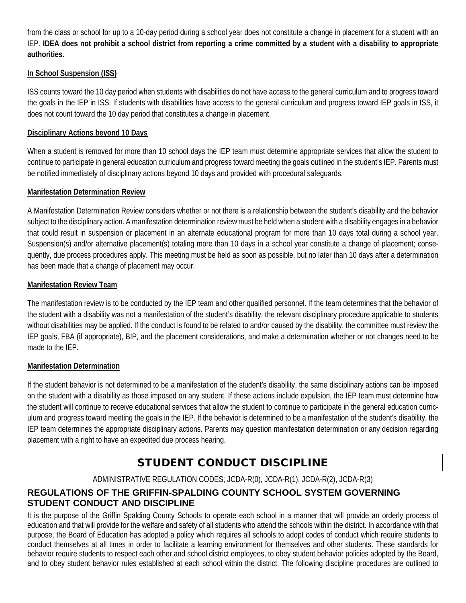from the class or school for up to a 10-day period during a school year does not constitute a change in placement for a student with an IEP. **IDEA does not prohibit a school district from reporting a crime committed by a student with a disability to appropriate authorities.**

#### **In School Suspension (ISS)**

ISS counts toward the 10 day period when students with disabilities do not have access to the general curriculum and to progress toward the goals in the IEP in ISS. If students with disabilities have access to the general curriculum and progress toward IEP goals in ISS, it does not count toward the 10 day period that constitutes a change in placement.

#### **Disciplinary Actions beyond 10 Days**

When a student is removed for more than 10 school days the IEP team must determine appropriate services that allow the student to continue to participate in general education curriculum and progress toward meeting the goals outlined in the student's IEP. Parents must be notified immediately of disciplinary actions beyond 10 days and provided with procedural safeguards.

#### **Manifestation Determination Review**

A Manifestation Determination Review considers whether or not there is a relationship between the student's disability and the behavior subject to the disciplinary action. A manifestation determination review must be held when a student with a disability engages in a behavior that could result in suspension or placement in an alternate educational program for more than 10 days total during a school year. Suspension(s) and/or alternative placement(s) totaling more than 10 days in a school year constitute a change of placement; consequently, due process procedures apply. This meeting must be held as soon as possible, but no later than 10 days after a determination has been made that a change of placement may occur.

#### **Manifestation Review Team**

The manifestation review is to be conducted by the IEP team and other qualified personnel. If the team determines that the behavior of the student with a disability was not a manifestation of the student's disability, the relevant disciplinary procedure applicable to students without disabilities may be applied. If the conduct is found to be related to and/or caused by the disability, the committee must review the IEP goals, FBA (if appropriate), BIP, and the placement considerations, and make a determination whether or not changes need to be made to the IEP.

#### **Manifestation Determination**

If the student behavior is not determined to be a manifestation of the student's disability, the same disciplinary actions can be imposed on the student with a disability as those imposed on any student. If these actions include expulsion, the IEP team must determine how the student will continue to receive educational services that allow the student to continue to participate in the general education curriculum and progress toward meeting the goals in the IEP. If the behavior is determined to be a manifestation of the student's disability, the IEP team determines the appropriate disciplinary actions. Parents may question manifestation determination or any decision regarding placement with a right to have an expedited due process hearing.

# STUDENT CONDUCT DISCIPLINE

## ADMINISTRATIVE REGULATION CODES; JCDA-R(0), JCDA-R(1), JCDA-R(2), JCDA-R(3)

## **REGULATIONS OF THE GRIFFIN-SPALDING COUNTY SCHOOL SYSTEM GOVERNING STUDENT CONDUCT AND DISCIPLINE**

It is the purpose of the Griffin Spalding County Schools to operate each school in a manner that will provide an orderly process of education and that will provide for the welfare and safety of all students who attend the schools within the district. In accordance with that purpose, the Board of Education has adopted a policy which requires all schools to adopt codes of conduct which require students to conduct themselves at all times in order to facilitate a learning environment for themselves and other students. These standards for behavior require students to respect each other and school district employees, to obey student behavior policies adopted by the Board, and to obey student behavior rules established at each school within the district. The following discipline procedures are outlined to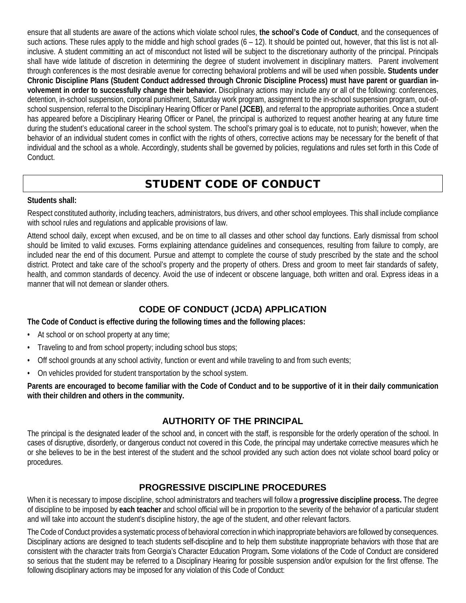ensure that all students are aware of the actions which violate school rules, **the school's Code of Conduct**, and the consequences of such actions. These rules apply to the middle and high school grades  $(6 - 12)$ . It should be pointed out, however, that this list is not allinclusive. A student committing an act of misconduct not listed will be subject to the discretionary authority of the principal. Principals shall have wide latitude of discretion in determining the degree of student involvement in disciplinary matters. Parent involvement through conferences is the most desirable avenue for correcting behavioral problems and will be used when possible**. Students under Chronic Discipline Plans (Student Conduct addressed through Chronic Discipline Process) must have parent or guardian involvement in order to successfully change their behavior.** Disciplinary actions may include any or all of the following: conferences, detention, in-school suspension, corporal punishment, Saturday work program, assignment to the in-school suspension program, out-ofschool suspension, referral to the Disciplinary Hearing Officer or Panel **(JCEB)**, and referral to the appropriate authorities. Once a student has appeared before a Disciplinary Hearing Officer or Panel, the principal is authorized to request another hearing at any future time during the student's educational career in the school system. The school's primary goal is to educate, not to punish; however, when the behavior of an individual student comes in conflict with the rights of others, corrective actions may be necessary for the benefit of that individual and the school as a whole. Accordingly, students shall be governed by policies, regulations and rules set forth in this Code of **Conduct** 

# STUDENT CODE OF CONDUCT

#### **Students shall:**

Respect constituted authority, including teachers, administrators, bus drivers, and other school employees. This shall include compliance with school rules and regulations and applicable provisions of law.

Attend school daily, except when excused, and be on time to all classes and other school day functions. Early dismissal from school should be limited to valid excuses. Forms explaining attendance guidelines and consequences, resulting from failure to comply, are included near the end of this document. Pursue and attempt to complete the course of study prescribed by the state and the school district. Protect and take care of the school's property and the property of others. Dress and groom to meet fair standards of safety, health, and common standards of decency. Avoid the use of indecent or obscene language, both written and oral. Express ideas in a manner that will not demean or slander others.

## **CODE OF CONDUCT (JCDA) APPLICATION**

**The Code of Conduct is effective during the following times and the following places:**

- At school or on school property at any time;
- Traveling to and from school property; including school bus stops;
- Off school grounds at any school activity, function or event and while traveling to and from such events;
- On vehicles provided for student transportation by the school system.

#### **Parents are encouraged to become familiar with the Code of Conduct and to be supportive of it in their daily communication with their children and others in the community.**

## **AUTHORITY OF THE PRINCIPAL**

The principal is the designated leader of the school and, in concert with the staff, is responsible for the orderly operation of the school. In cases of disruptive, disorderly, or dangerous conduct not covered in this Code, the principal may undertake corrective measures which he or she believes to be in the best interest of the student and the school provided any such action does not violate school board policy or procedures.

## **PROGRESSIVE DISCIPLINE PROCEDURES**

When it is necessary to impose discipline, school administrators and teachers will follow a **progressive discipline process.** The degree of discipline to be imposed by **each teacher** and school official will be in proportion to the severity of the behavior of a particular student and will take into account the student's discipline history, the age of the student, and other relevant factors.

The Code of Conduct provides a systematic process of behavioral correction in which inappropriate behaviors are followed by consequences. Disciplinary actions are designed to teach students self-discipline and to help them substitute inappropriate behaviors with those that are consistent with the character traits from Georgia's Character Education Program**.** Some violations of the Code of Conduct are considered so serious that the student may be referred to a Disciplinary Hearing for possible suspension and/or expulsion for the first offense. The following disciplinary actions may be imposed for any violation of this Code of Conduct: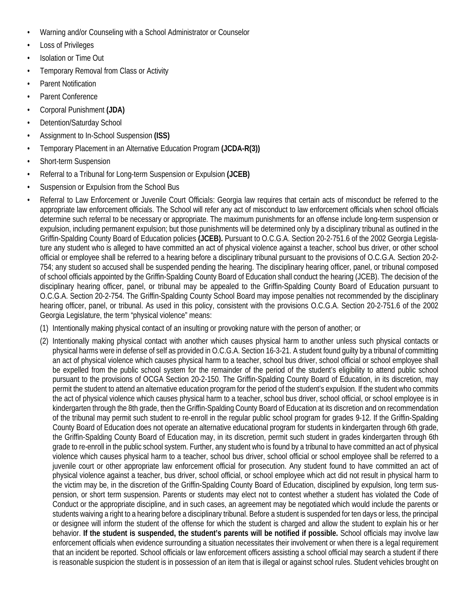- Warning and/or Counseling with a School Administrator or Counselor
- Loss of Privileges
- Isolation or Time Out
- Temporary Removal from Class or Activity
- Parent Notification
- Parent Conference
- Corporal Punishment **(JDA)**
- Detention/Saturday School
- Assignment to In-School Suspension **(ISS)**
- Temporary Placement in an Alternative Education Program **(JCDA-R(3))**
- Short-term Suspension
- Referral to a Tribunal for Long-term Suspension or Expulsion **(JCEB)**
- Suspension or Expulsion from the School Bus
- Referral to Law Enforcement or Juvenile Court Officials: Georgia law requires that certain acts of misconduct be referred to the appropriate law enforcement officials. The School will refer any act of misconduct to law enforcement officials when school officials determine such referral to be necessary or appropriate. The maximum punishments for an offense include long-term suspension or expulsion, including permanent expulsion; but those punishments will be determined only by a disciplinary tribunal as outlined in the Griffin-Spalding County Board of Education policies **(JCEB).** Pursuant to O.C.G.A. Section 20-2-751.6 of the 2002 Georgia Legislature any student who is alleged to have committed an act of physical violence against a teacher, school bus driver, or other school official or employee shall be referred to a hearing before a disciplinary tribunal pursuant to the provisions of O.C.G.A. Section 20-2- 754; any student so accused shall be suspended pending the hearing. The disciplinary hearing officer, panel, or tribunal composed of school officials appointed by the Griffin-Spalding County Board of Education shall conduct the hearing (JCEB). The decision of the disciplinary hearing officer, panel, or tribunal may be appealed to the Griffin-Spalding County Board of Education pursuant to O.C.G.A. Section 20-2-754. The Griffin-Spalding County School Board may impose penalties not recommended by the disciplinary hearing officer, panel, or tribunal. As used in this policy, consistent with the provisions O.C.G.A. Section 20-2-751.6 of the 2002 Georgia Legislature, the term "physical violence" means:
	- (1) Intentionally making physical contact of an insulting or provoking nature with the person of another; or
	- (2) Intentionally making physical contact with another which causes physical harm to another unless such physical contacts or physical harms were in defense of self as provided in O.C.G.A. Section 16-3-21. A student found guilty by a tribunal of committing an act of physical violence which causes physical harm to a teacher, school bus driver, school official or school employee shall be expelled from the public school system for the remainder of the period of the student's eligibility to attend public school pursuant to the provisions of OCGA Section 20-2-150. The Griffin-Spalding County Board of Education, in its discretion, may permit the student to attend an alternative education program for the period of the student's expulsion. If the student who commits the act of physical violence which causes physical harm to a teacher, school bus driver, school official, or school employee is in kindergarten through the 8th grade, then the Griffin-Spalding County Board of Education at its discretion and on recommendation of the tribunal may permit such student to re-enroll in the regular public school program for grades 9-12. If the Griffin-Spalding County Board of Education does not operate an alternative educational program for students in kindergarten through 6th grade, the Griffin-Spalding County Board of Education may, in its discretion, permit such student in grades kindergarten through 6th grade to re-enroll in the public school system. Further, any student who is found by a tribunal to have committed an act of physical violence which causes physical harm to a teacher, school bus driver, school official or school employee shall be referred to a juvenile court or other appropriate law enforcement official for prosecution. Any student found to have committed an act of physical violence against a teacher, bus driver, school official, or school employee which act did not result in physical harm to the victim may be, in the discretion of the Griffin-Spalding County Board of Education, disciplined by expulsion, long term suspension, or short term suspension. Parents or students may elect not to contest whether a student has violated the Code of Conduct or the appropriate discipline, and in such cases, an agreement may be negotiated which would include the parents or students waiving a right to a hearing before a disciplinary tribunal. Before a student is suspended for ten days or less, the principal or designee will inform the student of the offense for which the student is charged and allow the student to explain his or her behavior. **If the student is suspended, the student's parents will be notified if possible.** School officials may involve law enforcement officials when evidence surrounding a situation necessitates their involvement or when there is a legal requirement that an incident be reported. School officials or law enforcement officers assisting a school official may search a student if there is reasonable suspicion the student is in possession of an item that is illegal or against school rules. Student vehicles brought on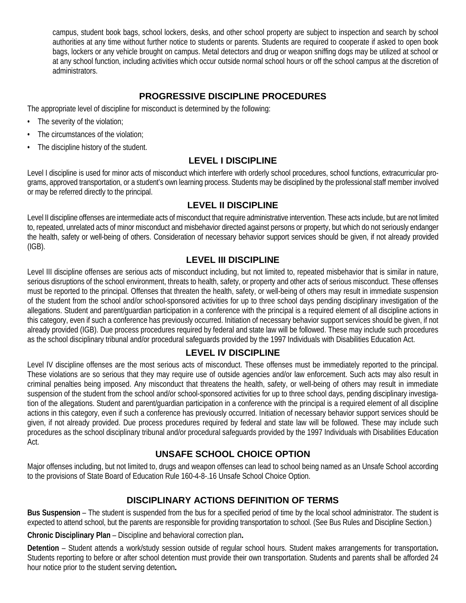campus, student book bags, school lockers, desks, and other school property are subject to inspection and search by school authorities at any time without further notice to students or parents. Students are required to cooperate if asked to open book bags, lockers or any vehicle brought on campus. Metal detectors and drug or weapon sniffing dogs may be utilized at school or at any school function, including activities which occur outside normal school hours or off the school campus at the discretion of administrators.

## **PROGRESSIVE DISCIPLINE PROCEDURES**

The appropriate level of discipline for misconduct is determined by the following:

- The severity of the violation;
- The circumstances of the violation;
- The discipline history of the student.

## **LEVEL I DISCIPLINE**

Level I discipline is used for minor acts of misconduct which interfere with orderly school procedures, school functions, extracurricular programs, approved transportation, or a student's own learning process. Students may be disciplined by the professional staff member involved or may be referred directly to the principal.

## **LEVEL II DISCIPLINE**

Level II discipline offenses are intermediate acts of misconduct that require administrative intervention. These acts include, but are not limited to, repeated, unrelated acts of minor misconduct and misbehavior directed against persons or property, but which do not seriously endanger the health, safety or well-being of others. Consideration of necessary behavior support services should be given, if not already provided (IGB).

## **LEVEL III DISCIPLINE**

Level III discipline offenses are serious acts of misconduct including, but not limited to, repeated misbehavior that is similar in nature, serious disruptions of the school environment, threats to health, safety, or property and other acts of serious misconduct. These offenses must be reported to the principal. Offenses that threaten the health, safety, or well-being of others may result in immediate suspension of the student from the school and/or school-sponsored activities for up to three school days pending disciplinary investigation of the allegations. Student and parent/guardian participation in a conference with the principal is a required element of all discipline actions in this category, even if such a conference has previously occurred. Initiation of necessary behavior support services should be given, if not already provided (IGB). Due process procedures required by federal and state law will be followed. These may include such procedures as the school disciplinary tribunal and/or procedural safeguards provided by the 1997 Individuals with Disabilities Education Act.

## **LEVEL IV DISCIPLINE**

Level IV discipline offenses are the most serious acts of misconduct. These offenses must be immediately reported to the principal. These violations are so serious that they may require use of outside agencies and/or law enforcement. Such acts may also result in criminal penalties being imposed. Any misconduct that threatens the health, safety, or well-being of others may result in immediate suspension of the student from the school and/or school-sponsored activities for up to three school days, pending disciplinary investigation of the allegations. Student and parent/guardian participation in a conference with the principal is a required element of all discipline actions in this category, even if such a conference has previously occurred. Initiation of necessary behavior support services should be given, if not already provided. Due process procedures required by federal and state law will be followed. These may include such procedures as the school disciplinary tribunal and/or procedural safeguards provided by the 1997 Individuals with Disabilities Education Act.

## **UNSAFE SCHOOL CHOICE OPTION**

Major offenses including, but not limited to, drugs and weapon offenses can lead to school being named as an Unsafe School according to the provisions of State Board of Education Rule 160-4-8-.16 Unsafe School Choice Option.

## **DISCIPLINARY ACTIONS DEFINITION OF TERMS**

**Bus Suspension** – The student is suspended from the bus for a specified period of time by the local school administrator. The student is expected to attend school, but the parents are responsible for providing transportation to school. (See Bus Rules and Discipline Section.)

**Chronic Disciplinary Plan** – Discipline and behavioral correction plan**.**

**Detention** – Student attends a work/study session outside of regular school hours. Student makes arrangements for transportation**.**  Students reporting to before or after school detention must provide their own transportation. Students and parents shall be afforded 24 hour notice prior to the student serving detention**.**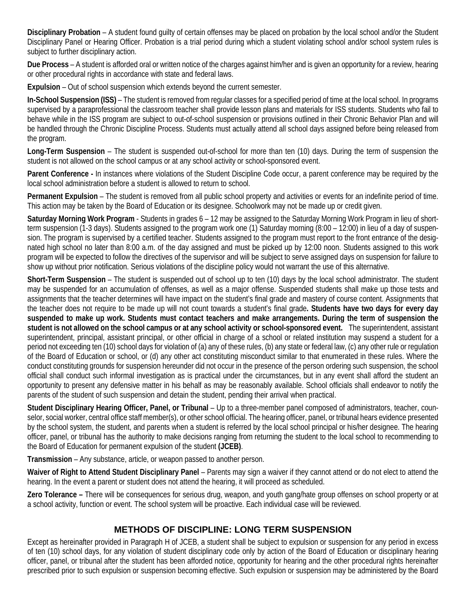**Disciplinary Probation** – A student found guilty of certain offenses may be placed on probation by the local school and/or the Student Disciplinary Panel or Hearing Officer. Probation is a trial period during which a student violating school and/or school system rules is subject to further disciplinary action.

**Due Process** – A student is afforded oral or written notice of the charges against him/her and is given an opportunity for a review, hearing or other procedural rights in accordance with state and federal laws.

**Expulsion** – Out of school suspension which extends beyond the current semester.

**In-School Suspension (ISS)** – The student is removed from regular classes for a specified period of time at the local school. In programs supervised by a paraprofessional the classroom teacher shall provide lesson plans and materials for ISS students. Students who fail to behave while in the ISS program are subject to out-of-school suspension or provisions outlined in their Chronic Behavior Plan and will be handled through the Chronic Discipline Process. Students must actually attend all school days assigned before being released from the program.

**Long-Term Suspension** – The student is suspended out-of-school for more than ten (10) days. During the term of suspension the student is not allowed on the school campus or at any school activity or school-sponsored event.

**Parent Conference -** In instances where violations of the Student Discipline Code occur, a parent conference may be required by the local school administration before a student is allowed to return to school.

**Permanent Expulsion** – The student is removed from all public school property and activities or events for an indefinite period of time. This action may be taken by the Board of Education or its designee. Schoolwork may not be made up or credit given.

**Saturday Morning Work Program** - Students in grades 6 – 12 may be assigned to the Saturday Morning Work Program in lieu of shortterm suspension (1-3 days). Students assigned to the program work one (1) Saturday morning (8:00 – 12:00) in lieu of a day of suspension. The program is supervised by a certified teacher. Students assigned to the program must report to the front entrance of the designated high school no later than 8:00 a.m. of the day assigned and must be picked up by 12:00 noon. Students assigned to this work program will be expected to follow the directives of the supervisor and will be subject to serve assigned days on suspension for failure to show up without prior notification. Serious violations of the discipline policy would not warrant the use of this alternative.

**Short-Term Suspension** – The student is suspended out of school up to ten (10) days by the local school administrator. The student may be suspended for an accumulation of offenses, as well as a major offense. Suspended students shall make up those tests and assignments that the teacher determines will have impact on the student's final grade and mastery of course content. Assignments that the teacher does not require to be made up will not count towards a student's final grade**. Students have two days for every day suspended to make up work. Students must contact teachers and make arrangements. During the term of suspension the student is not allowed on the school campus or at any school activity or school-sponsored event.** The superintendent, assistant superintendent, principal, assistant principal, or other official in charge of a school or related institution may suspend a student for a period not exceeding ten (10) school days for violation of (a) any of these rules, (b) any state or federal law, (c) any other rule or regulation of the Board of Education or school, or (d) any other act constituting misconduct similar to that enumerated in these rules. Where the conduct constituting grounds for suspension hereunder did not occur in the presence of the person ordering such suspension, the school official shall conduct such informal investigation as is practical under the circumstances, but in any event shall afford the student an opportunity to present any defensive matter in his behalf as may be reasonably available. School officials shall endeavor to notify the parents of the student of such suspension and detain the student, pending their arrival when practical.

**Student Disciplinary Hearing Officer, Panel, or Tribunal** – Up to a three-member panel composed of administrators, teacher, counselor, social worker, central office staff member(s), or other school official. The hearing officer, panel, or tribunal hears evidence presented by the school system, the student, and parents when a student is referred by the local school principal or his/her designee. The hearing officer, panel, or tribunal has the authority to make decisions ranging from returning the student to the local school to recommending to the Board of Education for permanent expulsion of the student **(JCEB)**.

**Transmission** – Any substance, article, or weapon passed to another person.

**Waiver of Right to Attend Student Disciplinary Panel** – Parents may sign a waiver if they cannot attend or do not elect to attend the hearing. In the event a parent or student does not attend the hearing, it will proceed as scheduled.

**Zero Tolerance –** There will be consequences for serious drug, weapon, and youth gang/hate group offenses on school property or at a school activity, function or event. The school system will be proactive. Each individual case will be reviewed.

## **METHODS OF DISCIPLINE: LONG TERM SUSPENSION**

Except as hereinafter provided in Paragraph H of JCEB, a student shall be subject to expulsion or suspension for any period in excess of ten (10) school days, for any violation of student disciplinary code only by action of the Board of Education or disciplinary hearing officer, panel, or tribunal after the student has been afforded notice, opportunity for hearing and the other procedural rights hereinafter prescribed prior to such expulsion or suspension becoming effective. Such expulsion or suspension may be administered by the Board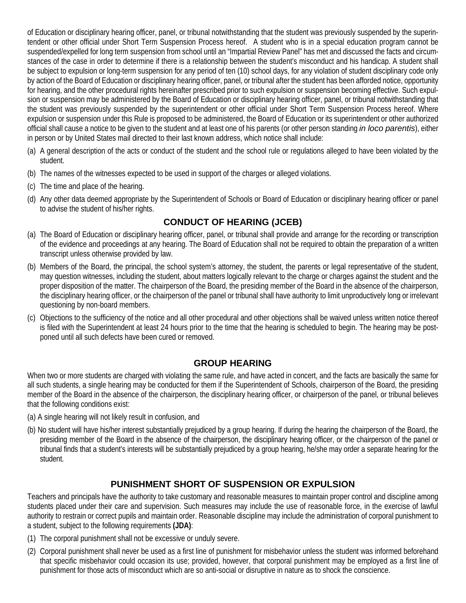of Education or disciplinary hearing officer, panel, or tribunal notwithstanding that the student was previously suspended by the superintendent or other official under Short Term Suspension Process hereof. A student who is in a special education program cannot be suspended/expelled for long term suspension from school until an "Impartial Review Panel" has met and discussed the facts and circumstances of the case in order to determine if there is a relationship between the student's misconduct and his handicap. A student shall be subject to expulsion or long-term suspension for any period of ten (10) school days, for any violation of student disciplinary code only by action of the Board of Education or disciplinary hearing officer, panel, or tribunal after the student has been afforded notice, opportunity for hearing, and the other procedural rights hereinafter prescribed prior to such expulsion or suspension becoming effective. Such expulsion or suspension may be administered by the Board of Education or disciplinary hearing officer, panel, or tribunal notwithstanding that the student was previously suspended by the superintendent or other official under Short Term Suspension Process hereof. Where expulsion or suspension under this Rule is proposed to be administered, the Board of Education or its superintendent or other authorized official shall cause a notice to be given to the student and at least one of his parents (or other person standing *in loco parentis*), either in person or by United States mail directed to their last known address, which notice shall include:

- (a) A general description of the acts or conduct of the student and the school rule or regulations alleged to have been violated by the student.
- (b) The names of the witnesses expected to be used in support of the charges or alleged violations.
- (c) The time and place of the hearing.
- (d) Any other data deemed appropriate by the Superintendent of Schools or Board of Education or disciplinary hearing officer or panel to advise the student of his/her rights.

## **CONDUCT OF HEARING (JCEB)**

- (a) The Board of Education or disciplinary hearing officer, panel, or tribunal shall provide and arrange for the recording or transcription of the evidence and proceedings at any hearing. The Board of Education shall not be required to obtain the preparation of a written transcript unless otherwise provided by law.
- (b) Members of the Board, the principal, the school system's attorney, the student, the parents or legal representative of the student, may question witnesses, including the student, about matters logically relevant to the charge or charges against the student and the proper disposition of the matter. The chairperson of the Board, the presiding member of the Board in the absence of the chairperson, the disciplinary hearing officer, or the chairperson of the panel or tribunal shall have authority to limit unproductively long or irrelevant questioning by non-board members.
- (c) Objections to the sufficiency of the notice and all other procedural and other objections shall be waived unless written notice thereof is filed with the Superintendent at least 24 hours prior to the time that the hearing is scheduled to begin. The hearing may be postponed until all such defects have been cured or removed.

## **GROUP HEARING**

When two or more students are charged with violating the same rule, and have acted in concert, and the facts are basically the same for all such students, a single hearing may be conducted for them if the Superintendent of Schools, chairperson of the Board, the presiding member of the Board in the absence of the chairperson, the disciplinary hearing officer, or chairperson of the panel, or tribunal believes that the following conditions exist:

- (a) A single hearing will not likely result in confusion, and
- (b) No student will have his/her interest substantially prejudiced by a group hearing. If during the hearing the chairperson of the Board, the presiding member of the Board in the absence of the chairperson, the disciplinary hearing officer, or the chairperson of the panel or tribunal finds that a student's interests will be substantially prejudiced by a group hearing, he/she may order a separate hearing for the student.

## **PUNISHMENT SHORT OF SUSPENSION OR EXPULSION**

Teachers and principals have the authority to take customary and reasonable measures to maintain proper control and discipline among students placed under their care and supervision. Such measures may include the use of reasonable force, in the exercise of lawful authority to restrain or correct pupils and maintain order. Reasonable discipline may include the administration of corporal punishment to a student, subject to the following requirements **(JDA)**:

- (1) The corporal punishment shall not be excessive or unduly severe.
- (2) Corporal punishment shall never be used as a first line of punishment for misbehavior unless the student was informed beforehand that specific misbehavior could occasion its use; provided, however, that corporal punishment may be employed as a first line of punishment for those acts of misconduct which are so anti-social or disruptive in nature as to shock the conscience.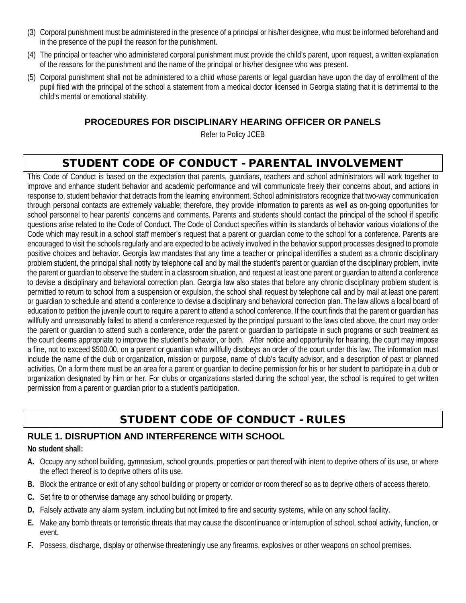- (3) Corporal punishment must be administered in the presence of a principal or his/her designee, who must be informed beforehand and in the presence of the pupil the reason for the punishment.
- (4) The principal or teacher who administered corporal punishment must provide the child's parent, upon request, a written explanation of the reasons for the punishment and the name of the principal or his/her designee who was present.
- (5) Corporal punishment shall not be administered to a child whose parents or legal guardian have upon the day of enrollment of the pupil filed with the principal of the school a statement from a medical doctor licensed in Georgia stating that it is detrimental to the child's mental or emotional stability.

## **PROCEDURES FOR DISCIPLINARY HEARING OFFICER OR PANELS**

Refer to Policy JCEB

# STUDENT CODE OF CONDUCT - PARENTAL INVOLVEMENT

This Code of Conduct is based on the expectation that parents, guardians, teachers and school administrators will work together to improve and enhance student behavior and academic performance and will communicate freely their concerns about, and actions in response to, student behavior that detracts from the learning environment. School administrators recognize that two-way communication through personal contacts are extremely valuable; therefore, they provide information to parents as well as on-going opportunities for school personnel to hear parents' concerns and comments. Parents and students should contact the principal of the school if specific questions arise related to the Code of Conduct. The Code of Conduct specifies within its standards of behavior various violations of the Code which may result in a school staff member's request that a parent or guardian come to the school for a conference. Parents are encouraged to visit the schools regularly and are expected to be actively involved in the behavior support processes designed to promote positive choices and behavior. Georgia law mandates that any time a teacher or principal identifies a student as a chronic disciplinary problem student, the principal shall notify by telephone call and by mail the student's parent or guardian of the disciplinary problem, invite the parent or guardian to observe the student in a classroom situation, and request at least one parent or guardian to attend a conference to devise a disciplinary and behavioral correction plan. Georgia law also states that before any chronic disciplinary problem student is permitted to return to school from a suspension or expulsion, the school shall request by telephone call and by mail at least one parent or guardian to schedule and attend a conference to devise a disciplinary and behavioral correction plan. The law allows a local board of education to petition the juvenile court to require a parent to attend a school conference. If the court finds that the parent or guardian has willfully and unreasonably failed to attend a conference requested by the principal pursuant to the laws cited above, the court may order the parent or guardian to attend such a conference, order the parent or guardian to participate in such programs or such treatment as the court deems appropriate to improve the student's behavior, or both. After notice and opportunity for hearing, the court may impose a fine, not to exceed \$500.00, on a parent or guardian who willfully disobeys an order of the court under this law. The information must include the name of the club or organization, mission or purpose, name of club's faculty advisor, and a description of past or planned activities. On a form there must be an area for a parent or guardian to decline permission for his or her student to participate in a club or organization designated by him or her. For clubs or organizations started during the school year, the school is required to get written permission from a parent or guardian prior to a student's participation.

# STUDENT CODE OF CONDUCT - RULES

## **RULE 1. DISRUPTION AND INTERFERENCE WITH SCHOOL**

**No student shall:**

- **A.** Occupy any school building, gymnasium, school grounds, properties or part thereof with intent to deprive others of its use, or where the effect thereof is to deprive others of its use.
- **B.** Block the entrance or exit of any school building or property or corridor or room thereof so as to deprive others of access thereto.
- **C.** Set fire to or otherwise damage any school building or property.
- **D.** Falsely activate any alarm system, including but not limited to fire and security systems, while on any school facility.
- **E.** Make any bomb threats or terroristic threats that may cause the discontinuance or interruption of school, school activity, function, or event.
- **F.** Possess, discharge, display or otherwise threateningly use any firearms, explosives or other weapons on school premises.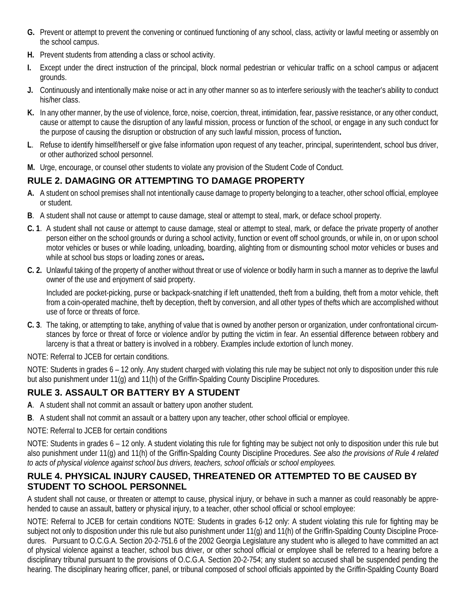- **G.** Prevent or attempt to prevent the convening or continued functioning of any school, class, activity or lawful meeting or assembly on the school campus.
- **H.** Prevent students from attending a class or school activity.
- **I.** Except under the direct instruction of the principal, block normal pedestrian or vehicular traffic on a school campus or adjacent grounds.
- **J.** Continuously and intentionally make noise or act in any other manner so as to interfere seriously with the teacher's ability to conduct his/her class.
- **K.** In any other manner, by the use of violence, force, noise, coercion, threat, intimidation, fear, passive resistance, or any other conduct, cause or attempt to cause the disruption of any lawful mission, process or function of the school, or engage in any such conduct for the purpose of causing the disruption or obstruction of any such lawful mission, process of function**.**
- **L**. Refuse to identify himself/herself or give false information upon request of any teacher, principal, superintendent, school bus driver, or other authorized school personnel.
- **M.** Urge, encourage, or counsel other students to violate any provision of the Student Code of Conduct.

## **RULE 2. DAMAGING OR ATTEMPTING TO DAMAGE PROPERTY**

- **A.** A student on school premises shall not intentionally cause damage to property belonging to a teacher, other school official, employee or student.
- **B**. A student shall not cause or attempt to cause damage, steal or attempt to steal, mark, or deface school property.
- **C. 1**. A student shall not cause or attempt to cause damage, steal or attempt to steal, mark, or deface the private property of another person either on the school grounds or during a school activity, function or event off school grounds, or while in, on or upon school motor vehicles or buses or while loading, unloading, boarding, alighting from or dismounting school motor vehicles or buses and while at school bus stops or loading zones or areas**.**
- **C. 2.** Unlawful taking of the property of another without threat or use of violence or bodily harm in such a manner as to deprive the lawful owner of the use and enjoyment of said property.

Included are pocket-picking, purse or backpack-snatching if left unattended, theft from a building, theft from a motor vehicle, theft from a coin-operated machine, theft by deception, theft by conversion, and all other types of thefts which are accomplished without use of force or threats of force.

**C. 3**. The taking, or attempting to take, anything of value that is owned by another person or organization, under confrontational circumstances by force or threat of force or violence and/or by putting the victim in fear. An essential difference between robbery and larceny is that a threat or battery is involved in a robbery. Examples include extortion of lunch money.

NOTE: Referral to JCEB for certain conditions.

NOTE: Students in grades 6 – 12 only. Any student charged with violating this rule may be subject not only to disposition under this rule but also punishment under 11(g) and 11(h) of the Griffin-Spalding County Discipline Procedures.

# **RULE 3. ASSAULT OR BATTERY BY A STUDENT**

- **A**. A student shall not commit an assault or battery upon another student.
- **B**. A student shall not commit an assault or a battery upon any teacher, other school official or employee.
- NOTE: Referral to JCEB for certain conditions

NOTE: Students in grades 6 – 12 only. A student violating this rule for fighting may be subject not only to disposition under this rule but also punishment under 11(g) and 11(h) of the Griffin-Spalding County Discipline Procedures. *See also the provisions of Rule 4 related to acts of physical violence against school bus drivers, teachers, school officials or school employees.*

## **RULE 4. PHYSICAL INJURY CAUSED, THREATENED OR ATTEMPTED TO BE CAUSED BY STUDENT TO SCHOOL PERSONNEL**

A student shall not cause, or threaten or attempt to cause, physical injury, or behave in such a manner as could reasonably be apprehended to cause an assault, battery or physical injury, to a teacher, other school official or school employee:

NOTE: Referral to JCEB for certain conditions NOTE: Students in grades 6-12 only: A student violating this rule for fighting may be subject not only to disposition under this rule but also punishment under 11(g) and 11(h) of the Griffin-Spalding County Discipline Procedures. Pursuant to O.C.G.A. Section 20-2-751.6 of the 2002 Georgia Legislature any student who is alleged to have committed an act of physical violence against a teacher, school bus driver, or other school official or employee shall be referred to a hearing before a disciplinary tribunal pursuant to the provisions of O.C.G.A. Section 20-2-754; any student so accused shall be suspended pending the hearing. The disciplinary hearing officer, panel, or tribunal composed of school officials appointed by the Griffin-Spalding County Board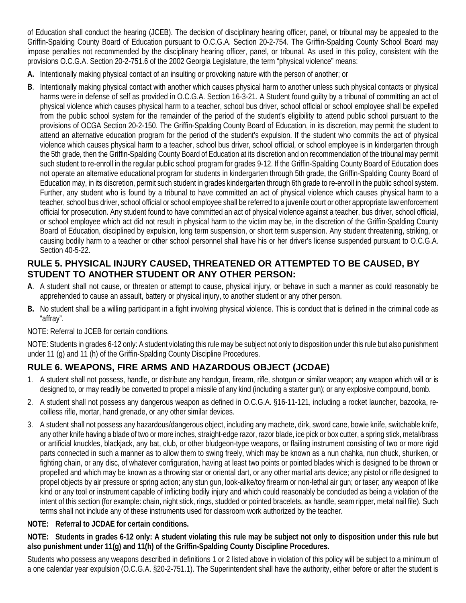of Education shall conduct the hearing (JCEB). The decision of disciplinary hearing officer, panel, or tribunal may be appealed to the Griffin-Spalding County Board of Education pursuant to O.C.G.A. Section 20-2-754. The Griffin-Spalding County School Board may impose penalties not recommended by the disciplinary hearing officer, panel, or tribunal. As used in this policy, consistent with the provisions O.C.G.A. Section 20-2-751.6 of the 2002 Georgia Legislature, the term "physical violence" means:

- **A.** Intentionally making physical contact of an insulting or provoking nature with the person of another; or
- **B**. Intentionally making physical contact with another which causes physical harm to another unless such physical contacts or physical harms were in defense of self as provided in O.C.G.A. Section 16-3-21. A Student found guilty by a tribunal of committing an act of physical violence which causes physical harm to a teacher, school bus driver, school official or school employee shall be expelled from the public school system for the remainder of the period of the student's eligibility to attend public school pursuant to the provisions of OCGA Section 20-2-150. The Griffin-Spalding County Board of Education, in its discretion, may permit the student to attend an alternative education program for the period of the student's expulsion. If the student who commits the act of physical violence which causes physical harm to a teacher, school bus driver, school official, or school employee is in kindergarten through the 5th grade, then the Griffin-Spalding County Board of Education at its discretion and on recommendation of the tribunal may permit such student to re-enroll in the regular public school program for grades 9-12. If the Griffin-Spalding County Board of Education does not operate an alternative educational program for students in kindergarten through 5th grade, the Griffin-Spalding County Board of Education may, in its discretion, permit such student in grades kindergarten through 6th grade to re-enroll in the public school system. Further, any student who is found by a tribunal to have committed an act of physical violence which causes physical harm to a teacher, school bus driver, school official or school employee shall be referred to a juvenile court or other appropriate law enforcement official for prosecution. Any student found to have committed an act of physical violence against a teacher, bus driver, school official, or school employee which act did not result in physical harm to the victim may be, in the discretion of the Griffin-Spalding County Board of Education, disciplined by expulsion, long term suspension, or short term suspension. Any student threatening, striking, or causing bodily harm to a teacher or other school personnel shall have his or her driver's license suspended pursuant to O.C.G.A. Section 40-5-22.

## **RULE 5. PHYSICAL INJURY CAUSED, THREATENED OR ATTEMPTED TO BE CAUSED, BY STUDENT TO ANOTHER STUDENT OR ANY OTHER PERSON:**

- **A**. A student shall not cause, or threaten or attempt to cause, physical injury, or behave in such a manner as could reasonably be apprehended to cause an assault, battery or physical injury, to another student or any other person.
- **B.** No student shall be a willing participant in a fight involving physical violence. This is conduct that is defined in the criminal code as "affray".

NOTE: Referral to JCEB for certain conditions.

NOTE: Students in grades 6-12 only: A student violating this rule may be subject not only to disposition under this rule but also punishment under 11 (g) and 11 (h) of the Griffin-Spalding County Discipline Procedures.

# **RULE 6. WEAPONS, FIRE ARMS AND HAZARDOUS OBJECT (JCDAE)**

- 1. A student shall not possess, handle, or distribute any handgun, firearm, rifle, shotgun or similar weapon; any weapon which will or is designed to, or may readily be converted to propel a missile of any kind (including a starter gun); or any explosive compound, bomb.
- 2. A student shall not possess any dangerous weapon as defined in O.C.G.A. §16-11-121, including a rocket launcher, bazooka, recoilless rifle, mortar, hand grenade, or any other similar devices.
- 3. A student shall not possess any hazardous/dangerous object, including any machete, dirk, sword cane, bowie knife, switchable knife, any other knife having a blade of two or more inches, straight-edge razor, razor blade, ice pick or box cutter, a spring stick, metal/brass or artificial knuckles, blackjack, any bat, club, or other bludgeon-type weapons, or flailing instrument consisting of two or more rigid parts connected in such a manner as to allow them to swing freely, which may be known as a nun chahka, nun chuck, shuriken, or fighting chain, or any disc, of whatever configuration, having at least two points or pointed blades which is designed to be thrown or propelled and which may be known as a throwing star or oriental dart, or any other martial arts device; any pistol or rifle designed to propel objects by air pressure or spring action; any stun gun, look-alike/toy firearm or non-lethal air gun; or taser; any weapon of like kind or any tool or instrument capable of inflicting bodily injury and which could reasonably be concluded as being a violation of the intent of this section (for example: chain, night stick, rings, studded or pointed bracelets, ax handle, seam ripper, metal nail file). Such terms shall not include any of these instruments used for classroom work authorized by the teacher.

## **NOTE: Referral to JCDAE for certain conditions.**

**NOTE: Students in grades 6-12 only: A student violating this rule may be subject not only to disposition under this rule but also punishment under 11(g) and 11(h) of the Griffin-Spalding County Discipline Procedures.**

Students who possess any weapons described in definitions 1 or 2 listed above in violation of this policy will be subject to a minimum of a one calendar year expulsion (O.C.G.A. §20-2-751.1). The Superintendent shall have the authority, either before or after the student is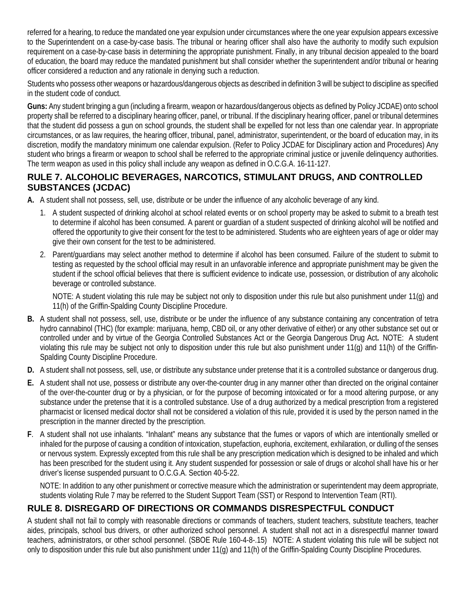referred for a hearing, to reduce the mandated one year expulsion under circumstances where the one year expulsion appears excessive to the Superintendent on a case-by-case basis. The tribunal or hearing officer shall also have the authority to modify such expulsion requirement on a case-by-case basis in determining the appropriate punishment. Finally, in any tribunal decision appealed to the board of education, the board may reduce the mandated punishment but shall consider whether the superintendent and/or tribunal or hearing officer considered a reduction and any rationale in denying such a reduction.

Students who possess other weapons or hazardous/dangerous objects as described in definition 3 will be subject to discipline as specified in the student code of conduct.

**Guns:** Any student bringing a gun (including a firearm, weapon or hazardous/dangerous objects as defined by Policy JCDAE) onto school property shall be referred to a disciplinary hearing officer, panel, or tribunal. If the disciplinary hearing officer, panel or tribunal determines that the student did possess a gun on school grounds, the student shall be expelled for not less than one calendar year. In appropriate circumstances, or as law requires, the hearing officer, tribunal, panel, administrator, superintendent, or the board of education may, in its discretion, modify the mandatory minimum one calendar expulsion. (Refer to Policy JCDAE for Disciplinary action and Procedures) Any student who brings a firearm or weapon to school shall be referred to the appropriate criminal justice or juvenile delinquency authorities. The term weapon as used in this policy shall include any weapon as defined in O.C.G.A. 16-11-127.

## **RULE 7. ALCOHOLIC BEVERAGES, NARCOTICS, STIMULANT DRUGS, AND CONTROLLED SUBSTANCES (JCDAC)**

- **A.** A student shall not possess, sell, use, distribute or be under the influence of any alcoholic beverage of any kind.
	- 1. A student suspected of drinking alcohol at school related events or on school property may be asked to submit to a breath test to determine if alcohol has been consumed. A parent or guardian of a student suspected of drinking alcohol will be notified and offered the opportunity to give their consent for the test to be administered. Students who are eighteen years of age or older may give their own consent for the test to be administered.
	- 2. Parent/guardians may select another method to determine if alcohol has been consumed. Failure of the student to submit to testing as requested by the school official may result in an unfavorable inference and appropriate punishment may be given the student if the school official believes that there is sufficient evidence to indicate use, possession, or distribution of any alcoholic beverage or controlled substance.

NOTE: A student violating this rule may be subject not only to disposition under this rule but also punishment under 11(g) and 11(h) of the Griffin-Spalding County Discipline Procedure.

- **B.** A student shall not possess, sell, use, distribute or be under the influence of any substance containing any concentration of tetra hydro cannabinol (THC) (for example: marijuana, hemp, CBD oil, or any other derivative of either) or any other substance set out or controlled under and by virtue of the Georgia Controlled Substances Act or the Georgia Dangerous Drug Act**.** NOTE: A student violating this rule may be subject not only to disposition under this rule but also punishment under 11(g) and 11(h) of the Griffin-Spalding County Discipline Procedure.
- **D.** A student shall not possess, sell, use, or distribute any substance under pretense that it is a controlled substance or dangerous drug.
- **E.** A student shall not use, possess or distribute any over-the-counter drug in any manner other than directed on the original container of the over-the-counter drug or by a physician, or for the purpose of becoming intoxicated or for a mood altering purpose, or any substance under the pretense that it is a controlled substance. Use of a drug authorized by a medical prescription from a registered pharmacist or licensed medical doctor shall not be considered a violation of this rule, provided it is used by the person named in the prescription in the manner directed by the prescription.
- **F**. A student shall not use inhalants. "Inhalant" means any substance that the fumes or vapors of which are intentionally smelled or inhaled for the purpose of causing a condition of intoxication, stupefaction, euphoria, excitement, exhilaration, or dulling of the senses or nervous system. Expressly excepted from this rule shall be any prescription medication which is designed to be inhaled and which has been prescribed for the student using it. Any student suspended for possession or sale of drugs or alcohol shall have his or her driver's license suspended pursuant to O.C.G.A. Section 40-5-22.

NOTE: In addition to any other punishment or corrective measure which the administration or superintendent may deem appropriate, students violating Rule 7 may be referred to the Student Support Team (SST) or Respond to Intervention Team (RTI).

## **RULE 8. DISREGARD OF DIRECTIONS OR COMMANDS DISRESPECTFUL CONDUCT**

A student shall not fail to comply with reasonable directions or commands of teachers, student teachers, substitute teachers, teacher aides, principals, school bus drivers, or other authorized school personnel. A student shall not act in a disrespectful manner toward teachers, administrators, or other school personnel. (SBOE Rule 160-4-8-.15) NOTE: A student violating this rule will be subject not only to disposition under this rule but also punishment under 11(g) and 11(h) of the Griffin-Spalding County Discipline Procedures.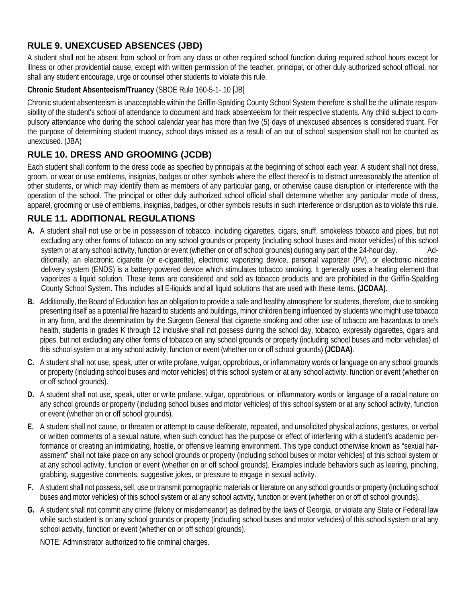# **RULE 9. UNEXCUSED ABSENCES (JBD)**

A student shall not be absent from school or from any class or other required school function during required school hours except for illness or other providential cause, except with written permission of the teacher, principal, or other duly authorized school official, nor shall any student encourage, urge or counsel other students to violate this rule.

#### **Chronic Student Absenteeism/Truancy** (SBOE Rule 160-5-1-.10 [JB]

Chronic student absenteeism is unacceptable within the Griffin-Spalding County School System therefore is shall be the ultimate responsibility of the student's school of attendance to document and track absenteeism for their respective students. Any child subject to compulsory attendance who during the school calendar year has more than five (5) days of unexcused absences is considered truant. For the purpose of determining student truancy, school days missed as a result of an out of school suspension shall not be counted as unexcused. (JBA)

## **RULE 10. DRESS AND GROOMING (JCDB)**

Each student shall conform to the dress code as specified by principals at the beginning of school each year. A student shall not dress, groom, or wear or use emblems, insignias, badges or other symbols where the effect thereof is to distract unreasonably the attention of other students, or which may identify them as members of any particular gang, or otherwise cause disruption or interference with the operation of the school. The principal or other duly authorized school official shall determine whether any particular mode of dress, apparel, grooming or use of emblems, insignias, badges, or other symbols results in such interference or disruption as to violate this rule.

## **RULE 11. ADDITIONAL REGULATIONS**

- **A.** A student shall not use or be in possession of tobacco, including cigarettes, cigars, snuff, smokeless tobacco and pipes, but not excluding any other forms of tobacco on any school grounds or property (including school buses and motor vehicles) of this school system or at any school activity, function or event (whether on or off school grounds) during any part of the 24-hour day. Additionally, an electronic cigarette (or e-cigarette), electronic vaporizing device, personal vaporizer (PV), or electronic nicotine delivery system (ENDS) is a battery-powered device which stimulates tobacco smoking. It generally uses a heating element that vaporizes a liquid solution. These items are considered and sold as tobacco products and are prohibited in the Griffin-Spalding County School System. This includes all E-liquids and all liquid solutions that are used with these items. **(JCDAA)**.
- **B.** Additionally, the Board of Education has an obligation to provide a safe and healthy atmosphere for students, therefore, due to smoking presenting itself as a potential fire hazard to students and buildings, minor children being influenced by students who might use tobacco in any form, and the determination by the Surgeon General that cigarette smoking and other use of tobacco are hazardous to one's health, students in grades K through 12 inclusive shall not possess during the school day, tobacco, expressly cigarettes, cigars and pipes, but not excluding any other forms of tobacco on any school grounds or property (including school buses and motor vehicles) of this school system or at any school activity, function or event (whether on or off school grounds) **(JCDAA)**.
- **C.** A student shall not use, speak, utter or write profane, vulgar, opprobrious, or inflammatory words or language on any school grounds or property (including school buses and motor vehicles) of this school system or at any school activity, function or event (whether on or off school grounds).
- **D.** A student shall not use, speak, utter or write profane, vulgar, opprobrious, or inflammatory words or language of a racial nature on any school grounds or property (including school buses and motor vehicles) of this school system or at any school activity, function or event (whether on or off school grounds).
- **E.** A student shall not cause, or threaten or attempt to cause deliberate, repeated, and unsolicited physical actions, gestures, or verbal or written comments of a sexual nature, when such conduct has the purpose or effect of interfering with a student's academic performance or creating an intimidating, hostile, or offensive learning environment. This type conduct otherwise known as "sexual harassment" shall not take place on any school grounds or property (including school buses or motor vehicles) of this school system or at any school activity, function or event (whether on or off school grounds). Examples include behaviors such as leering, pinching, grabbing, suggestive comments, suggestive jokes, or pressure to engage in sexual activity.
- **F.** A student shall not possess, sell, use or transmit pornographic materials or literature on any school grounds or property (including school buses and motor vehicles) of this school system or at any school activity, function or event (whether on or off of school grounds).
- **G.** A student shall not commit any crime (felony or misdemeanor) as defined by the laws of Georgia, or violate any State or Federal law while such student is on any school grounds or property (including school buses and motor vehicles) of this school system or at any school activity, function or event (whether on or off school grounds).

NOTE: Administrator authorized to file criminal charges.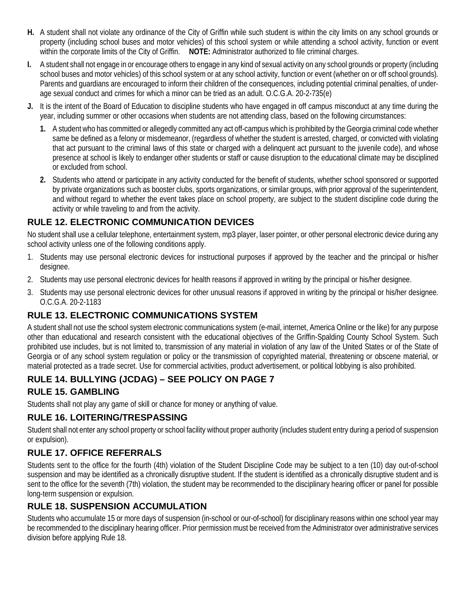- **H.** A student shall not violate any ordinance of the City of Griffin while such student is within the city limits on any school grounds or property (including school buses and motor vehicles) of this school system or while attending a school activity, function or event within the corporate limits of the City of Griffin. **NOTE:** Administrator authorized to file criminal charges.
- **I.** A student shall not engage in or encourage others to engage in any kind of sexual activity on any school grounds or property (including school buses and motor vehicles) of this school system or at any school activity, function or event (whether on or off school grounds). Parents and quardians are encouraged to inform their children of the consequences, including potential criminal penalties, of underage sexual conduct and crimes for which a minor can be tried as an adult. O.C.G.A. 20-2-735(e)
- **J.** It is the intent of the Board of Education to discipline students who have engaged in off campus misconduct at any time during the year, including summer or other occasions when students are not attending class, based on the following circumstances:
	- **1.** A student who has committed or allegedly committed any act off-campus which is prohibited by the Georgia criminal code whether same be defined as a felony or misdemeanor, (regardless of whether the student is arrested, charged, or convicted with violating that act pursuant to the criminal laws of this state or charged with a delinquent act pursuant to the juvenile code), and whose presence at school is likely to endanger other students or staff or cause disruption to the educational climate may be disciplined or excluded from school.
	- **2.** Students who attend or participate in any activity conducted for the benefit of students, whether school sponsored or supported by private organizations such as booster clubs, sports organizations, or similar groups, with prior approval of the superintendent, and without regard to whether the event takes place on school property, are subject to the student discipline code during the activity or while traveling to and from the activity.

## **RULE 12. ELECTRONIC COMMUNICATION DEVICES**

No student shall use a cellular telephone, entertainment system, mp3 player, laser pointer, or other personal electronic device during any school activity unless one of the following conditions apply.

- 1. Students may use personal electronic devices for instructional purposes if approved by the teacher and the principal or his/her designee.
- 2. Students may use personal electronic devices for health reasons if approved in writing by the principal or his/her designee.
- 3. Students may use personal electronic devices for other unusual reasons if approved in writing by the principal or his/her designee. O.C.G.A. 20-2-1183

## **RULE 13. ELECTRONIC COMMUNICATIONS SYSTEM**

A student shall not use the school system electronic communications system (e-mail, internet, America Online or the like) for any purpose other than educational and research consistent with the educational objectives of the Griffin-Spalding County School System. Such prohibited use includes, but is not limited to, transmission of any material in violation of any law of the United States or of the State of Georgia or of any school system regulation or policy or the transmission of copyrighted material, threatening or obscene material, or material protected as a trade secret. Use for commercial activities, product advertisement, or political lobbying is also prohibited.

## **RULE 14. BULLYING (JCDAG) – SEE POLICY ON PAGE 7**

## **RULE 15. GAMBLING**

Students shall not play any game of skill or chance for money or anything of value.

## **RULE 16. LOITERING/TRESPASSING**

Student shall not enter any school property or school facility without proper authority (includes student entry during a period of suspension or expulsion).

## **RULE 17. OFFICE REFERRALS**

Students sent to the office for the fourth (4th) violation of the Student Discipline Code may be subject to a ten (10) day out-of-school suspension and may be identified as a chronically disruptive student. If the student is identified as a chronically disruptive student and is sent to the office for the seventh (7th) violation, the student may be recommended to the disciplinary hearing officer or panel for possible long-term suspension or expulsion.

## **RULE 18. SUSPENSION ACCUMULATION**

Students who accumulate 15 or more days of suspension (in-school or our-of-school) for disciplinary reasons within one school year may be recommended to the disciplinary hearing officer. Prior permission must be received from the Administrator over administrative services division before applying Rule 18.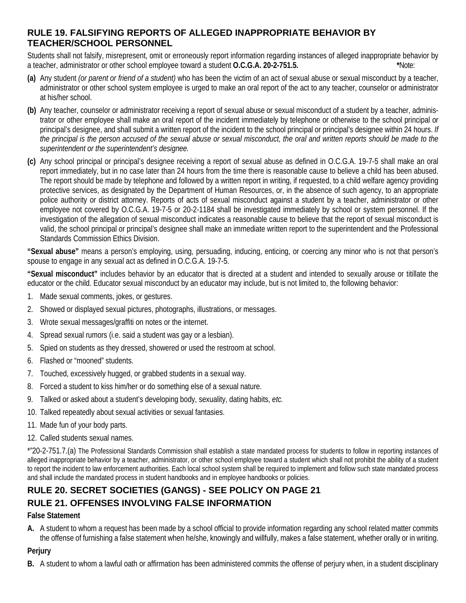## **RULE 19. FALSIFYING REPORTS OF ALLEGED INAPPROPRIATE BEHAVIOR BY TEACHER/SCHOOL PERSONNEL**

Students shall not falsify, misrepresent, omit or erroneously report information regarding instances of alleged inappropriate behavior by a teacher, administrator or other school employee toward a student **O.C.G.A. 20-2-751.5. \***Note:

- **(a)** Any student *(or parent or friend of a student)* who has been the victim of an act of sexual abuse or sexual misconduct by a teacher, administrator or other school system employee is urged to make an oral report of the act to any teacher, counselor or administrator at his/her school.
- **(b)** Any teacher, counselor or administrator receiving a report of sexual abuse or sexual misconduct of a student by a teacher, administrator or other employee shall make an oral report of the incident immediately by telephone or otherwise to the school principal or principal's designee, and shall submit a written report of the incident to the school principal or principal's designee within 24 hours. *If the principal is the person accused of the sexual abuse or sexual misconduct, the oral and written reports should be made to the superintendent or the superintendent's designee.*
- **(c)** Any school principal or principal's designee receiving a report of sexual abuse as defined in O.C.G.A. 19-7-5 shall make an oral report immediately, but in no case later than 24 hours from the time there is reasonable cause to believe a child has been abused. The report should be made by telephone and followed by a written report in writing, if requested, to a child welfare agency providing protective services, as designated by the Department of Human Resources, or, in the absence of such agency, to an appropriate police authority or district attorney. Reports of acts of sexual misconduct against a student by a teacher, administrator or other employee not covered by O.C.G.A. 19-7-5 or 20-2-1184 shall be investigated immediately by school or system personnel. If the investigation of the allegation of sexual misconduct indicates a reasonable cause to believe that the report of sexual misconduct is valid, the school principal or principal's designee shall make an immediate written report to the superintendent and the Professional Standards Commission Ethics Division.

**"Sexual abuse"** means a person's employing, using, persuading, inducing, enticing, or coercing any minor who is not that person's spouse to engage in any sexual act as defined in O.C.G.A. 19-7-5.

**"Sexual misconduct"** includes behavior by an educator that is directed at a student and intended to sexually arouse or titillate the educator or the child. Educator sexual misconduct by an educator may include, but is not limited to, the following behavior:

- 1. Made sexual comments, jokes, or gestures.
- 2. Showed or displayed sexual pictures, photographs, illustrations, or messages.
- 3. Wrote sexual messages/graffiti on notes or the internet.
- 4. Spread sexual rumors (i.e. said a student was gay or a lesbian).
- 5. Spied on students as they dressed, showered or used the restroom at school.
- 6. Flashed or "mooned" students.
- 7. Touched, excessively hugged, or grabbed students in a sexual way.
- 8. Forced a student to kiss him/her or do something else of a sexual nature.
- 9. Talked or asked about a student's developing body, sexuality, dating habits, *etc.*
- 10. Talked repeatedly about sexual activities or sexual fantasies.
- 11. Made fun of your body parts.
- 12. Called students sexual names.

\*"20-2-751.7.(a) The Professional Standards Commission shall establish a state mandated process for students to follow in reporting instances of alleged inappropriate behavior by a teacher, administrator, or other school employee toward a student which shall not prohibit the ability of a student to report the incident to law enforcement authorities. Each local school system shall be required to implement and follow such state mandated process and shall include the mandated process in student handbooks and in employee handbooks or policies.

## **RULE 20. SECRET SOCIETIES (GANGS) - SEE POLICY ON PAGE 21 RULE 21. OFFENSES INVOLVING FALSE INFORMATION**

#### **False Statement**

**A.** A student to whom a request has been made by a school official to provide information regarding any school related matter commits the offense of furnishing a false statement when he/she, knowingly and willfully, makes a false statement, whether orally or in writing.

## **Perjury**

**B.** A student to whom a lawful oath or affirmation has been administered commits the offense of perjury when, in a student disciplinary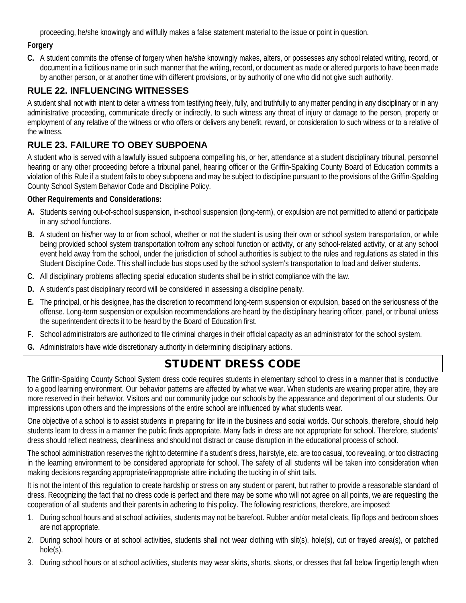proceeding, he/she knowingly and willfully makes a false statement material to the issue or point in question.

#### **Forgery**

**C.** A student commits the offense of forgery when he/she knowingly makes, alters, or possesses any school related writing, record, or document in a fictitious name or in such manner that the writing, record, or document as made or altered purports to have been made by another person, or at another time with different provisions, or by authority of one who did not give such authority.

## **RULE 22. INFLUENCING WITNESSES**

A student shall not with intent to deter a witness from testifying freely, fully, and truthfully to any matter pending in any disciplinary or in any administrative proceeding, communicate directly or indirectly, to such witness any threat of injury or damage to the person, property or employment of any relative of the witness or who offers or delivers any benefit, reward, or consideration to such witness or to a relative of the witness.

## **RULE 23. FAILURE TO OBEY SUBPOENA**

A student who is served with a lawfully issued subpoena compelling his, or her, attendance at a student disciplinary tribunal, personnel hearing or any other proceeding before a tribunal panel, hearing officer or the Griffin-Spalding County Board of Education commits a violation of this Rule if a student fails to obey subpoena and may be subject to discipline pursuant to the provisions of the Griffin-Spalding County School System Behavior Code and Discipline Policy.

#### **Other Requirements and Considerations:**

- **A.** Students serving out-of-school suspension, in-school suspension (long-term), or expulsion are not permitted to attend or participate in any school functions.
- **B.** A student on his/her way to or from school, whether or not the student is using their own or school system transportation, or while being provided school system transportation to/from any school function or activity, or any school-related activity, or at any school event held away from the school, under the jurisdiction of school authorities is subject to the rules and regulations as stated in this Student Discipline Code. This shall include bus stops used by the school system's transportation to load and deliver students.
- **C.** All disciplinary problems affecting special education students shall be in strict compliance with the law.
- **D.** A student's past disciplinary record will be considered in assessing a discipline penalty.
- **E.** The principal, or his designee, has the discretion to recommend long-term suspension or expulsion, based on the seriousness of the offense. Long-term suspension or expulsion recommendations are heard by the disciplinary hearing officer, panel, or tribunal unless the superintendent directs it to be heard by the Board of Education first.
- **F**. School administrators are authorized to file criminal charges in their official capacity as an administrator for the school system.
- **G.** Administrators have wide discretionary authority in determining disciplinary actions.

# STUDENT DRESS CODE

The Griffin-Spalding County School System dress code requires students in elementary school to dress in a manner that is conductive to a good learning environment. Our behavior patterns are affected by what we wear. When students are wearing proper attire, they are more reserved in their behavior. Visitors and our community judge our schools by the appearance and deportment of our students. Our impressions upon others and the impressions of the entire school are influenced by what students wear.

One objective of a school is to assist students in preparing for life in the business and social worlds. Our schools, therefore, should help students learn to dress in a manner the public finds appropriate. Many fads in dress are not appropriate for school. Therefore, students' dress should reflect neatness, cleanliness and should not distract or cause disruption in the educational process of school.

The school administration reserves the right to determine if a student's dress, hairstyle, etc. are too casual, too revealing, or too distracting in the learning environment to be considered appropriate for school. The safety of all students will be taken into consideration when making decisions regarding appropriate/inappropriate attire including the tucking in of shirt tails.

It is not the intent of this regulation to create hardship or stress on any student or parent, but rather to provide a reasonable standard of dress. Recognizing the fact that no dress code is perfect and there may be some who will not agree on all points, we are requesting the cooperation of all students and their parents in adhering to this policy. The following restrictions, therefore, are imposed:

- 1. During school hours and at school activities, students may not be barefoot. Rubber and/or metal cleats, flip flops and bedroom shoes are not appropriate.
- 2. During school hours or at school activities, students shall not wear clothing with slit(s), hole(s), cut or frayed area(s), or patched hole(s).
- 3. During school hours or at school activities, students may wear skirts, shorts, skorts, or dresses that fall below fingertip length when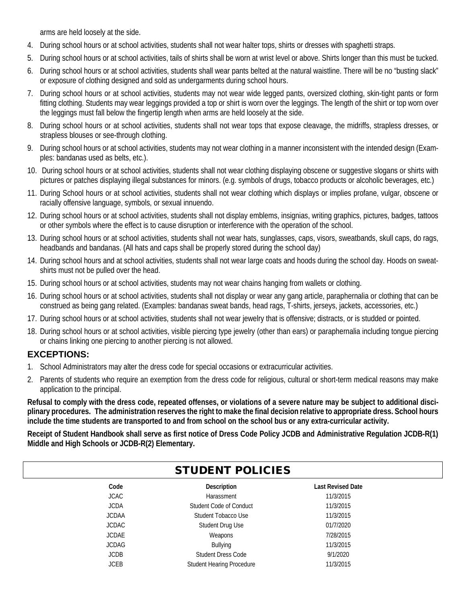arms are held loosely at the side.

- 4. During school hours or at school activities, students shall not wear halter tops, shirts or dresses with spaghetti straps.
- 5. During school hours or at school activities, tails of shirts shall be worn at wrist level or above. Shirts longer than this must be tucked.
- 6. During school hours or at school activities, students shall wear pants belted at the natural waistline. There will be no "busting slack" or exposure of clothing designed and sold as undergarments during school hours.
- 7. During school hours or at school activities, students may not wear wide legged pants, oversized clothing, skin-tight pants or form fitting clothing. Students may wear leggings provided a top or shirt is worn over the leggings. The length of the shirt or top worn over the leggings must fall below the fingertip length when arms are held loosely at the side.
- 8. During school hours or at school activities, students shall not wear tops that expose cleavage, the midriffs, strapless dresses, or strapless blouses or see-through clothing.
- 9. During school hours or at school activities, students may not wear clothing in a manner inconsistent with the intended design (Examples: bandanas used as belts, etc.).
- 10. During school hours or at school activities, students shall not wear clothing displaying obscene or suggestive slogans or shirts with pictures or patches displaying illegal substances for minors. (e.g. symbols of drugs, tobacco products or alcoholic beverages, etc.)
- 11. During School hours or at school activities, students shall not wear clothing which displays or implies profane, vulgar, obscene or racially offensive language, symbols, or sexual innuendo.
- 12. During school hours or at school activities, students shall not display emblems, insignias, writing graphics, pictures, badges, tattoos or other symbols where the effect is to cause disruption or interference with the operation of the school.
- 13. During school hours or at school activities, students shall not wear hats, sunglasses, caps, visors, sweatbands, skull caps, do rags, headbands and bandanas. (All hats and caps shall be properly stored during the school day)
- 14. During school hours and at school activities, students shall not wear large coats and hoods during the school day. Hoods on sweatshirts must not be pulled over the head.
- 15. During school hours or at school activities, students may not wear chains hanging from wallets or clothing.
- 16. During school hours or at school activities, students shall not display or wear any gang article, paraphernalia or clothing that can be construed as being gang related. (Examples: bandanas sweat bands, head rags, T-shirts, jerseys, jackets, accessories, etc.)
- 17. During school hours or at school activities, students shall not wear jewelry that is offensive; distracts, or is studded or pointed.
- 18. During school hours or at school activities, visible piercing type jewelry (other than ears) or paraphernalia including tongue piercing or chains linking one piercing to another piercing is not allowed.

## **EXCEPTIONS:**

- 1. School Administrators may alter the dress code for special occasions or extracurricular activities.
- 2. Parents of students who require an exemption from the dress code for religious, cultural or short-term medical reasons may make application to the principal.

**Refusal to comply with the dress code, repeated offenses, or violations of a severe nature may be subject to additional disciplinary procedures. The administration reserves the right to make the final decision relative to appropriate dress. School hours include the time students are transported to and from school on the school bus or any extra-curricular activity.**

**Receipt of Student Handbook shall serve as first notice of Dress Code Policy JCDB and Administrative Regulation JCDB-R(1) Middle and High Schools or JCDB-R(2) Elementary.**

| <b>STUDENT POLICIES</b> |                           |                          |  |
|-------------------------|---------------------------|--------------------------|--|
| Code                    | Description               | <b>Last Revised Date</b> |  |
| <b>JCAC</b>             | Harassment                | 11/3/2015                |  |
| <b>JCDA</b>             | Student Code of Conduct   | 11/3/2015                |  |
| <b>JCDAA</b>            | Student Tobacco Use       | 11/3/2015                |  |
| <b>JCDAC</b>            | Student Drug Use          | 01/7/2020                |  |
| <b>JCDAE</b>            | Weapons                   | 7/28/2015                |  |
| <b>JCDAG</b>            | Bullying                  | 11/3/2015                |  |
| <b>JCDB</b>             | <b>Student Dress Code</b> | 9/1/2020                 |  |
| <b>JCEB</b>             | Student Hearing Procedure | 11/3/2015                |  |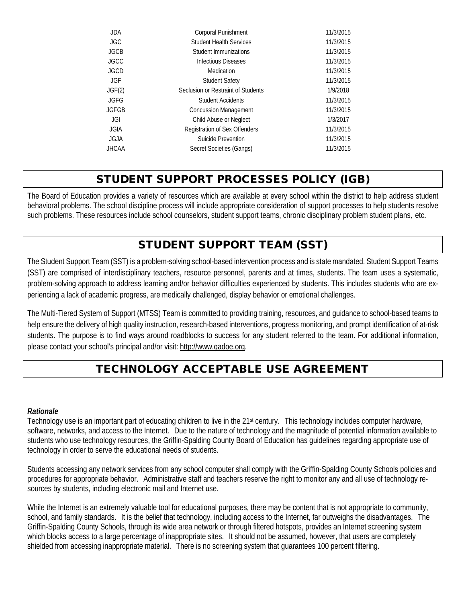| <b>JDA</b>  | Corporal Punishment                | 11/3/2015 |
|-------------|------------------------------------|-----------|
| <b>JGC</b>  | <b>Student Health Services</b>     | 11/3/2015 |
| <b>JGCB</b> | Student Immunizations              | 11/3/2015 |
| <b>JGCC</b> | <b>Infectious Diseases</b>         | 11/3/2015 |
| <b>JGCD</b> | Medication                         | 11/3/2015 |
| JGF.        | <b>Student Safety</b>              | 11/3/2015 |
| JGF(2)      | Seclusion or Restraint of Students | 1/9/2018  |
| <b>JGFG</b> | <b>Student Accidents</b>           | 11/3/2015 |
| JGFGB       | <b>Concussion Management</b>       | 11/3/2015 |
| JGI         | Child Abuse or Neglect             | 1/3/2017  |
| <b>JGIA</b> | Registration of Sex Offenders      | 11/3/2015 |
| <b>JGJA</b> | Suicide Prevention                 | 11/3/2015 |
| JHCAA       | Secret Societies (Gangs)           | 11/3/2015 |
|             |                                    |           |

# STUDENT SUPPORT PROCESSES POLICY (IGB)

The Board of Education provides a variety of resources which are available at every school within the district to help address student behavioral problems. The school discipline process will include appropriate consideration of support processes to help students resolve such problems. These resources include school counselors, student support teams, chronic disciplinary problem student plans*,* etc*.*

# STUDENT SUPPORT TEAM (SST)

The Student Support Team (SST) is a problem-solving school-based intervention process and is state mandated. Student Support Teams (SST) are comprised of interdisciplinary teachers, resource personnel, parents and at times, students. The team uses a systematic, problem-solving approach to address learning and/or behavior difficulties experienced by students. This includes students who are experiencing a lack of academic progress, are medically challenged, display behavior or emotional challenges.

The Multi-Tiered System of Support (MTSS) Team is committed to providing training, resources, and guidance to school-based teams to help ensure the delivery of high quality instruction, research-based interventions, progress monitoring, and prompt identification of at-risk students. The purpose is to find ways around roadblocks to success for any student referred to the team. For additional information, please contact your school's principal and/or visit[: http://www.gadoe.org.](http://www.gadoe.org/)

# TECHNOLOGY ACCEPTABLE USE AGREEMENT

#### *Rationale*

Technology use is an important part of educating children to live in the 21<sup>st</sup> century. This technology includes computer hardware, software, networks, and access to the Internet. Due to the nature of technology and the magnitude of potential information available to students who use technology resources, the Griffin-Spalding County Board of Education has guidelines regarding appropriate use of technology in order to serve the educational needs of students.

Students accessing any network services from any school computer shall comply with the Griffin-Spalding County Schools policies and procedures for appropriate behavior. Administrative staff and teachers reserve the right to monitor any and all use of technology resources by students, including electronic mail and Internet use.

While the Internet is an extremely valuable tool for educational purposes, there may be content that is not appropriate to community, school, and family standards. It is the belief that technology, including access to the Internet, far outweighs the disadvantages. The Griffin-Spalding County Schools, through its wide area network or through filtered hotspots, provides an Internet screening system which blocks access to a large percentage of inappropriate sites. It should not be assumed, however, that users are completely shielded from accessing inappropriate material. There is no screening system that guarantees 100 percent filtering.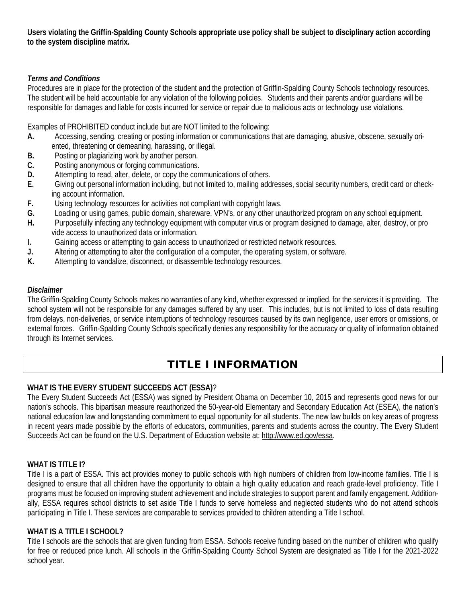**Users violating the Griffin-Spalding County Schools appropriate use policy shall be subject to disciplinary action according to the system discipline matrix.**

#### *Terms and Conditions*

Procedures are in place for the protection of the student and the protection of Griffin-Spalding County Schools technology resources. The student will be held accountable for any violation of the following policies. Students and their parents and/or guardians will be responsible for damages and liable for costs incurred for service or repair due to malicious acts or technology use violations.

Examples of PROHIBITED conduct include but are NOT limited to the following:

- **A.** Accessing, sending, creating or posting information or communications that are damaging, abusive, obscene, sexually ori ented, threatening or demeaning, harassing, or illegal.
- **B.** Posting or plagiarizing work by another person.
- **C.** Posting anonymous or forging communications.
- **D.** Attempting to read, alter, delete, or copy the communications of others.<br>**E.** Giving out personal information including, but not limited to, mailing add
- **E.** Giving out personal information including, but not limited to, mailing addresses, social security numbers, credit card or check ing account information.
- **F.** Using technology resources for activities not compliant with copyright laws.
- **G.** Loading or using games, public domain, shareware, VPN's, or any other unauthorized program on any school equipment.
- **H.** Purposefully infecting any technology equipment with computer virus or program designed to damage, alter, destroy, or pro vide access to unauthorized data or information.
- **I.** Gaining access or attempting to gain access to unauthorized or restricted network resources.
- **J.** Altering or attempting to alter the configuration of a computer, the operating system, or software.
- **K.** Attempting to vandalize, disconnect, or disassemble technology resources.

#### *Disclaimer*

The Griffin-Spalding County Schools makes no warranties of any kind, whether expressed or implied, for the services it is providing. The school system will not be responsible for any damages suffered by any user. This includes, but is not limited to loss of data resulting from delays, non-deliveries, or service interruptions of technology resources caused by its own negligence, user errors or omissions, or external forces. Griffin-Spalding County Schools specifically denies any responsibility for the accuracy or quality of information obtained through its Internet services.

# TITLE I INFORMATION

## **WHAT IS THE EVERY STUDENT SUCCEEDS ACT (ESSA)**?

The Every Student Succeeds Act (ESSA) was signed by President Obama on December 10, 2015 and represents good news for our nation's schools. This bipartisan measure reauthorized the 50-year-old Elementary and Secondary Education Act (ESEA), the nation's national education law and longstanding commitment to equal opportunity for all students. The new law builds on key areas of progress in recent years made possible by the efforts of educators, communities, parents and students across the country. The Every Student Succeeds Act can be found on the U.S. Department of Education website at: [http://www.ed.gov/essa.](http://www.ed.gov/essa)

## **WHAT IS TITLE I?**

Title I is a part of ESSA. This act provides money to public schools with high numbers of children from low-income families. Title I is designed to ensure that all children have the opportunity to obtain a high quality education and reach grade-level proficiency. Title I programs must be focused on improving student achievement and include strategies to support parent and family engagement. Additionally, ESSA requires school districts to set aside Title I funds to serve homeless and neglected students who do not attend schools participating in Title I. These services are comparable to services provided to children attending a Title I school.

#### **WHAT IS A TITLE I SCHOOL?**

Title I schools are the schools that are given funding from ESSA. Schools receive funding based on the number of children who qualify for free or reduced price lunch. All schools in the Griffin-Spalding County School System are designated as Title I for the 2021-2022 school year.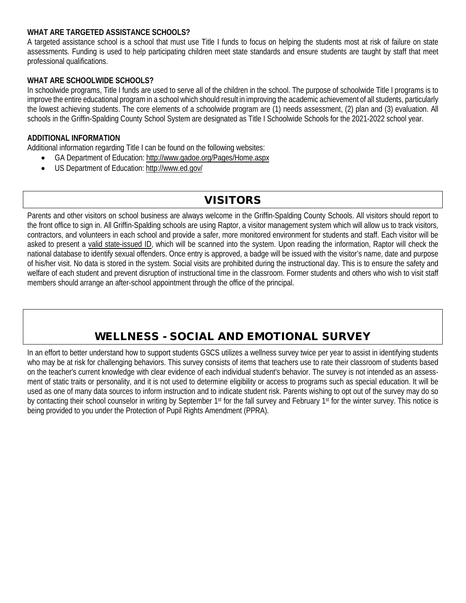#### **WHAT ARE TARGETED ASSISTANCE SCHOOLS?**

A targeted assistance school is a school that must use Title I funds to focus on helping the students most at risk of failure on state assessments. Funding is used to help participating children meet state standards and ensure students are taught by staff that meet professional qualifications.

#### **WHAT ARE SCHOOLWIDE SCHOOLS?**

In schoolwide programs, Title I funds are used to serve all of the children in the school. The purpose of schoolwide Title I programs is to improve the entire educational program in a school which should result in improving the academic achievement of all students, particularly the lowest achieving students. The core elements of a schoolwide program are (1) needs assessment, (2) plan and (3) evaluation. All schools in the Griffin-Spalding County School System are designated as Title I Schoolwide Schools for the 2021-2022 school year.

#### **ADDITIONAL INFORMATION**

Additional information regarding Title I can be found on the following websites:

- GA Department of Education:<http://www.gadoe.org/Pages/Home.aspx>
- US Department of Education:<http://www.ed.gov/>

# VISITORS

Parents and other visitors on school business are always welcome in the Griffin-Spalding County Schools. All visitors should report to the front office to sign in. All Griffin-Spalding schools are using Raptor, a visitor management system which will allow us to track visitors, contractors, and volunteers in each school and provide a safer, more monitored environment for students and staff. Each visitor will be asked to present a valid state-issued ID, which will be scanned into the system. Upon reading the information, Raptor will check the national database to identify sexual offenders. Once entry is approved, a badge will be issued with the visitor's name, date and purpose of his/her visit. No data is stored in the system. Social visits are prohibited during the instructional day. This is to ensure the safety and welfare of each student and prevent disruption of instructional time in the classroom. Former students and others who wish to visit staff members should arrange an after-school appointment through the office of the principal.

# WELLNESS - SOCIAL AND EMOTIONAL SURVEY

In an effort to better understand how to support students GSCS utilizes a wellness survey twice per year to assist in identifying students who may be at risk for challenging behaviors. This survey consists of items that teachers use to rate their classroom of students based on the teacher's current knowledge with clear evidence of each individual student's behavior. The survey is not intended as an assessment of static traits or personality, and it is not used to determine eligibility or access to programs such as special education. It will be used as one of many data sources to inform instruction and to indicate student risk. Parents wishing to opt out of the survey may do so by contacting their school counselor in writing by September 1<sup>st</sup> for the fall survey and February 1<sup>st</sup> for the winter survey. This notice is being provided to you under the Protection of Pupil Rights Amendment (PPRA).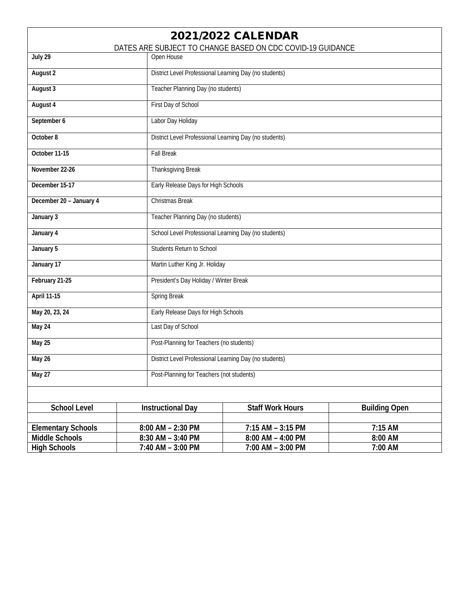| <b>2021/2022 CALENDAR</b><br>DATES ARE SUBJECT TO CHANGE BASED ON CDC COVID-19 GUIDANCE |                                                        |                                                        |         |  |
|-----------------------------------------------------------------------------------------|--------------------------------------------------------|--------------------------------------------------------|---------|--|
| July 29                                                                                 | Open House                                             |                                                        |         |  |
| <b>August 2</b>                                                                         |                                                        | District Level Professional Learning Day (no students) |         |  |
| August 3                                                                                | Teacher Planning Day (no students)                     |                                                        |         |  |
| August 4                                                                                | First Day of School                                    |                                                        |         |  |
| September 6                                                                             | Labor Day Holiday                                      |                                                        |         |  |
| October 8                                                                               | District Level Professional Learning Day (no students) |                                                        |         |  |
| October 11-15                                                                           | <b>Fall Break</b>                                      |                                                        |         |  |
| November 22-26                                                                          | <b>Thanksgiving Break</b>                              |                                                        |         |  |
| December 15-17                                                                          | Early Release Days for High Schools                    |                                                        |         |  |
| December 20 - January 4                                                                 | <b>Christmas Break</b>                                 |                                                        |         |  |
| January 3                                                                               |                                                        | Teacher Planning Day (no students)                     |         |  |
| January 4                                                                               | School Level Professional Learning Day (no students)   |                                                        |         |  |
| January 5                                                                               | <b>Students Return to School</b>                       |                                                        |         |  |
| January 17                                                                              | Martin Luther King Jr. Holiday                         |                                                        |         |  |
| February 21-25                                                                          | President's Day Holiday / Winter Break                 |                                                        |         |  |
| <b>April 11-15</b>                                                                      | <b>Spring Break</b>                                    |                                                        |         |  |
| May 20, 23, 24                                                                          | Early Release Days for High Schools                    |                                                        |         |  |
| May 24                                                                                  | Last Day of School                                     |                                                        |         |  |
| May 25                                                                                  |                                                        | Post-Planning for Teachers (no students)               |         |  |
| May 26                                                                                  |                                                        | District Level Professional Learning Day (no students) |         |  |
| May 27                                                                                  |                                                        | Post-Planning for Teachers (not students)              |         |  |
|                                                                                         |                                                        |                                                        |         |  |
| <b>School Level</b>                                                                     | <b>Instructional Day</b>                               | <b>Staff Work Hours</b><br><b>Building Open</b>        |         |  |
| <b>Elementary Schools</b>                                                               | 8:00 AM - 2:30 PM                                      | 7:15 AM - 3:15 PM                                      | 7:15 AM |  |
| <b>Middle Schools</b>                                                                   | $8:30$ AM - 3:40 PM                                    | 8:00 AM<br>$8:00$ AM $-$ 4:00 PM                       |         |  |
| <b>High Schools</b>                                                                     | 7:40 AM - 3:00 PM<br>7:00 AM - 3:00 PM<br>7:00 AM      |                                                        |         |  |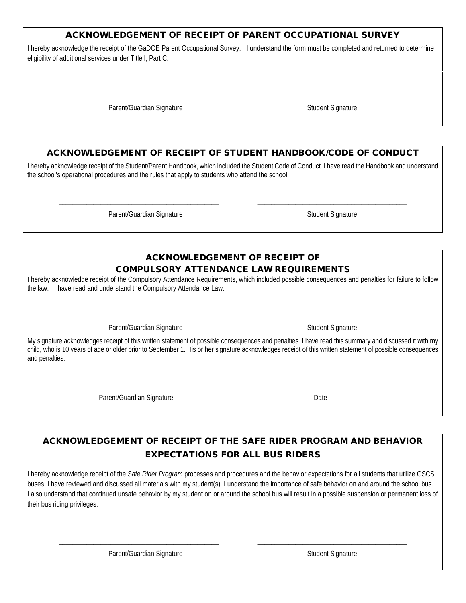#### ACKNOWLEDGEMENT OF RECEIPT OF PARENT OCCUPATIONAL SURVEY

I hereby acknowledge the receipt of the GaDOE Parent Occupational Survey. I understand the form must be completed and returned to determine eligibility of additional services under Title I, Part C.

\_\_\_\_\_\_\_\_\_\_\_\_\_\_\_\_\_\_\_\_\_\_\_\_\_\_\_\_\_\_\_\_\_\_\_\_\_\_\_\_\_\_\_\_\_\_ \_\_\_\_\_\_\_\_\_\_\_\_\_\_\_\_\_\_\_\_\_\_\_\_\_\_\_\_\_\_\_\_\_\_\_\_\_\_\_\_\_\_\_

Parent/Guardian Signature Student Signature Student Signature

## ACKNOWLEDGEMENT OF RECEIPT OF STUDENT HANDBOOK/CODE OF CONDUCT

I hereby acknowledge receipt of the Student/Parent Handbook, which included the Student Code of Conduct. I have read the Handbook and understand the school's operational procedures and the rules that apply to students who attend the school.

\_\_\_\_\_\_\_\_\_\_\_\_\_\_\_\_\_\_\_\_\_\_\_\_\_\_\_\_\_\_\_\_\_\_\_\_\_\_\_\_\_\_\_\_\_\_ \_\_\_\_\_\_\_\_\_\_\_\_\_\_\_\_\_\_\_\_\_\_\_\_\_\_\_\_\_\_\_\_\_\_\_\_\_\_\_\_\_\_\_

Parent/Guardian Signature Superior Student Signature Student Signature

#### ACKNOWLEDGEMENT OF RECEIPT OF COMPULSORY ATTENDANCE LAW REQUIREMENTS

I hereby acknowledge receipt of the Compulsory Attendance Requirements, which included possible consequences and penalties for failure to follow the law. I have read and understand the Compulsory Attendance Law.

\_\_\_\_\_\_\_\_\_\_\_\_\_\_\_\_\_\_\_\_\_\_\_\_\_\_\_\_\_\_\_\_\_\_\_\_\_\_\_\_\_\_\_\_\_\_ \_\_\_\_\_\_\_\_\_\_\_\_\_\_\_\_\_\_\_\_\_\_\_\_\_\_\_\_\_\_\_\_\_\_\_\_\_\_\_\_\_\_\_

Parent/Guardian Signature Student Signature Student Signature

My signature acknowledges receipt of this written statement of possible consequences and penalties. I have read this summary and discussed it with my child, who is 10 years of age or older prior to September 1. His or her signature acknowledges receipt of this written statement of possible consequences and penalties:

\_\_\_\_\_\_\_\_\_\_\_\_\_\_\_\_\_\_\_\_\_\_\_\_\_\_\_\_\_\_\_\_\_\_\_\_\_\_\_\_\_\_\_\_\_\_ \_\_\_\_\_\_\_\_\_\_\_\_\_\_\_\_\_\_\_\_\_\_\_\_\_\_\_\_\_\_\_\_\_\_\_\_\_\_\_\_\_\_\_

Parent/Guardian Signature Date

ACKNOWLEDGEMENT OF RECEIPT OF THE SAFE RIDER PROGRAM AND BEHAVIOR

## EXPECTATIONS FOR ALL BUS RIDERS

I hereby acknowledge receipt of the *Safe Rider Program* processes and procedures and the behavior expectations for all students that utilize GSCS buses. I have reviewed and discussed all materials with my student(s). I understand the importance of safe behavior on and around the school bus. I also understand that continued unsafe behavior by my student on or around the school bus will result in a possible suspension or permanent loss of their bus riding privileges.

\_\_\_\_\_\_\_\_\_\_\_\_\_\_\_\_\_\_\_\_\_\_\_\_\_\_\_\_\_\_\_\_\_\_\_\_\_\_\_\_\_\_\_\_\_\_ \_\_\_\_\_\_\_\_\_\_\_\_\_\_\_\_\_\_\_\_\_\_\_\_\_\_\_\_\_\_\_\_\_\_\_\_\_\_\_\_\_\_\_

Parent/Guardian Signature Student Signature Student Signature